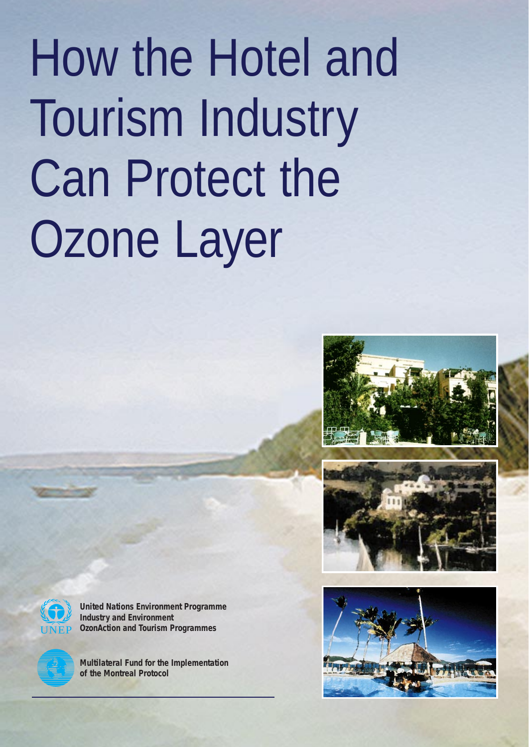# How the Hotel and Tourism Industry Can Protect the Ozone Layer







**United Nations Environment Programme Industry and Environment OzonAction and Tourism Programmes**



**Multilateral Fund for the Implementation of the Montreal Protocol**

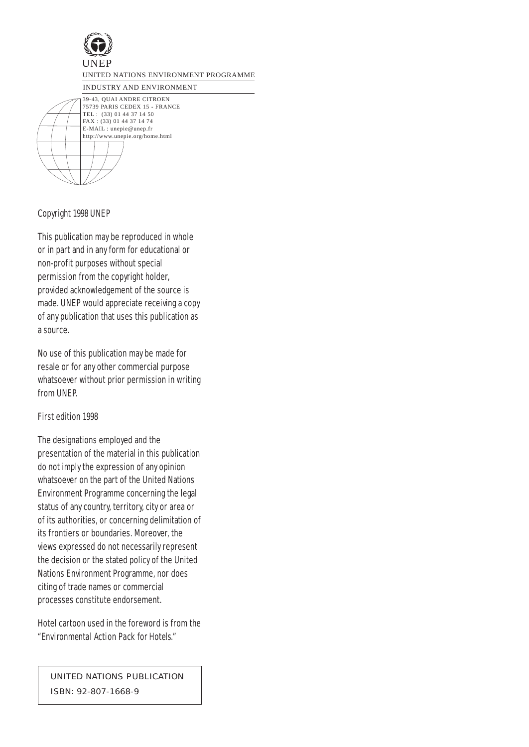

INDUSTRY AND ENVIRONMENT

39-43, QUAI ANDRE CITROEN 75739 PARIS CEDEX 15 - FRANCE TEL : (33) 01 44 37 14 50 FAX : (33) 01 44 37 14 74 E-MAIL : unepie@unep.fr http://www.unepie.org/home.html

Copyright 1998 UNEP

This publication may be reproduced in whole or in part and in any form for educational or non-profit purposes without special permission from the copyright holder, provided acknowledgement of the source is made. UNEP would appreciate receiving a copy of any publication that uses this publication as a source.

No use of this publication may be made for resale or for any other commercial purpose whatsoever without prior permission in writing from UNEP.

First edition 1998

The designations employed and the presentation of the material in this publication do not imply the expression of any opinion whatsoever on the part of the United Nations Environment Programme concerning the legal status of any country, territory, city or area or of its authorities, or concerning delimitation of its frontiers or boundaries. Moreover, the views expressed do not necessarily represent the decision or the stated policy of the United Nations Environment Programme, nor does citing of trade names or commercial processes constitute endorsement.

Hotel cartoon used in the foreword is from the "*Environmental Action Pack for Hotels*."

UNITED NATIONS PUBLICATION

ISBN: 92-807-1668-9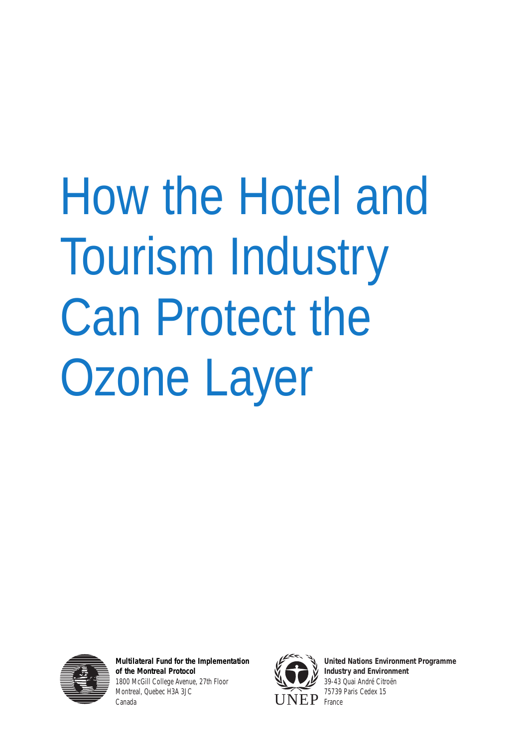# How the Hotel and Tourism Industry Can Protect the Ozone Layer



**Multilateral Fund for the Implementation of the Montreal Protocol** 1800 McGill College Avenue, 27th Floor Montreal, Quebec H3A 3JC Canada



**United Nations Environment Programme Industry and Environment** 39-43 Quai André Citroën 75739 Paris Cedex 15 France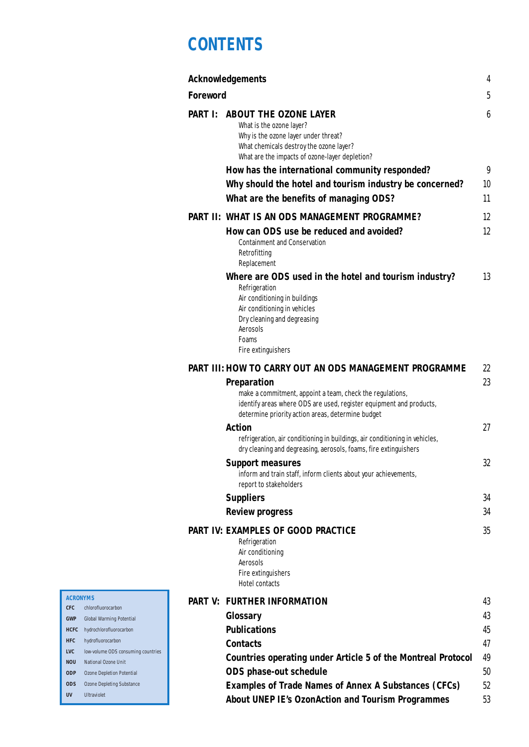# **CONTENTS**

|                 | <b>Acknowledgements</b>                                                                                                                                                                                     | 4           |
|-----------------|-------------------------------------------------------------------------------------------------------------------------------------------------------------------------------------------------------------|-------------|
| <b>Foreword</b> |                                                                                                                                                                                                             | $\mathbf 5$ |
| <b>PART I:</b>  | <b>ABOUT THE OZONE LAYER</b><br>What is the ozone layer?<br>Why is the ozone layer under threat?<br>What chemicals destroy the ozone layer?<br>What are the impacts of ozone-layer depletion?               | 6           |
|                 | How has the international community responded?                                                                                                                                                              | 9           |
|                 | Why should the hotel and tourism industry be concerned?                                                                                                                                                     | 10          |
|                 | What are the benefits of managing ODS?                                                                                                                                                                      | 11          |
|                 | <b>PART II: WHAT IS AN ODS MANAGEMENT PROGRAMME?</b>                                                                                                                                                        | 12          |
|                 | How can ODS use be reduced and avoided?                                                                                                                                                                     | 12          |
|                 | <b>Containment and Conservation</b><br>Retrofitting<br>Replacement                                                                                                                                          |             |
|                 | Where are ODS used in the hotel and tourism industry?<br>Refrigeration                                                                                                                                      | 13          |
|                 | Air conditioning in buildings<br>Air conditioning in vehicles<br>Dry cleaning and degreasing<br>Aerosols<br>Foams<br>Fire extinguishers                                                                     |             |
|                 | PART III: HOW TO CARRY OUT AN ODS MANAGEMENT PROGRAMME                                                                                                                                                      | 22          |
|                 | <b>Preparation</b><br>make a commitment, appoint a team, check the regulations,<br>identify areas where ODS are used, register equipment and products,<br>determine priority action areas, determine budget | 23          |
|                 | <b>Action</b>                                                                                                                                                                                               | 27          |
|                 | refrigeration, air conditioning in buildings, air conditioning in vehicles,<br>dry cleaning and degreasing, aerosols, foams, fire extinguishers                                                             |             |
|                 | <b>Support measures</b><br>inform and train staff, inform clients about your achievements,<br>report to stakeholders                                                                                        | 32          |
|                 | <b>Suppliers</b>                                                                                                                                                                                            | 34          |
|                 | <b>Review progress</b>                                                                                                                                                                                      | 34          |
|                 | <b>PART IV: EXAMPLES OF GOOD PRACTICE</b><br>Refrigeration<br>Air conditioning<br>Aerosols<br>Fire extinguishers<br><b>Hotel contacts</b>                                                                   | 35          |
|                 | PART V: FURTHER INFORMATION                                                                                                                                                                                 | 43          |
|                 | Glossary                                                                                                                                                                                                    | 43          |
|                 | <b>Publications</b>                                                                                                                                                                                         | 45          |
|                 | <b>Contacts</b>                                                                                                                                                                                             | 47          |
|                 | <b>Countries operating under Article 5 of the Montreal Protocol</b>                                                                                                                                         | 49          |
|                 | <b>ODS</b> phase-out schedule                                                                                                                                                                               | 50          |
|                 | <b>Examples of Trade Names of Annex A Substances (CFCs)</b>                                                                                                                                                 | 52          |
|                 | <b>About UNEP IE's OzonAction and Tourism Programmes</b>                                                                                                                                                    | 53          |

#### **ACRONYMS**

- **CFC** chlorofluorocarbon **GWP** Global Warming Potential
- **HCFC** hydrochlorofluorocarbon
- **HFC** hydrofluorocarbon
- **LVC** low-volume ODS consuming countries
- **NOU** National Ozone Unit
- **ODP** Ozone Depletion Potential
- **ODS** Ozone Depleting Substance
- **UV** Ultraviolet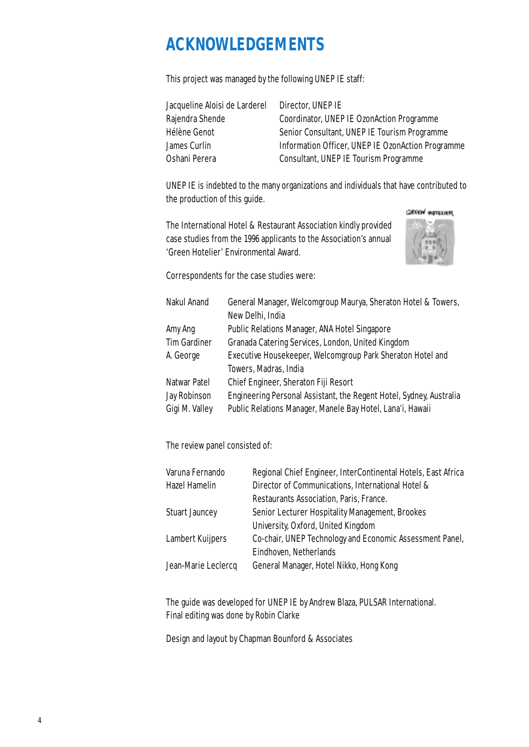# **ACKNOWLEDGEMENTS**

This project was managed by the following UNEP IE staff:

| Jacqueline Aloisi de Larderel | Director, UNEP IE                                 |
|-------------------------------|---------------------------------------------------|
| Rajendra Shende               | Coordinator, UNEP IE OzonAction Programme         |
| Hélène Genot                  | Senior Consultant, UNEP IE Tourism Programme      |
| James Curlin                  | Information Officer, UNEP IE OzonAction Programme |
| Oshani Perera                 | <b>Consultant, UNEP IE Tourism Programme</b>      |
|                               |                                                   |

UNEP IE is indebted to the many organizations and individuals that have contributed to the production of this guide.

**GREEN HOTSLIER** 

The International Hotel & Restaurant Association kindly provided case studies from the 1996 applicants to the Association's annual 'Green Hotelier' Environmental Award.



Correspondents for the case studies were:

| Nakul Anand         | General Manager, Welcomgroup Maurya, Sheraton Hotel & Towers,       |
|---------------------|---------------------------------------------------------------------|
|                     | New Delhi, India                                                    |
| Amy Ang             | Public Relations Manager, ANA Hotel Singapore                       |
| <b>Tim Gardiner</b> | Granada Catering Services, London, United Kingdom                   |
| A. George           | Executive Housekeeper, Welcomgroup Park Sheraton Hotel and          |
|                     | Towers, Madras, India                                               |
| Natwar Patel        | Chief Engineer, Sheraton Fiji Resort                                |
| <b>Jay Robinson</b> | Engineering Personal Assistant, the Regent Hotel, Sydney, Australia |
| Gigi M. Valley      | Public Relations Manager, Manele Bay Hotel, Lana'i, Hawaii          |

The review panel consisted of:

| Varuna Fernando       | Regional Chief Engineer, InterContinental Hotels, East Africa |
|-----------------------|---------------------------------------------------------------|
| <b>Hazel Hamelin</b>  | Director of Communications, International Hotel &             |
|                       | Restaurants Association, Paris, France.                       |
| <b>Stuart Jauncey</b> | Senior Lecturer Hospitality Management, Brookes               |
|                       | University, Oxford, United Kingdom                            |
| Lambert Kuijpers      | Co-chair, UNEP Technology and Economic Assessment Panel,      |
|                       | Eindhoven, Netherlands                                        |
| Jean-Marie Leclercq   | General Manager, Hotel Nikko, Hong Kong                       |
|                       |                                                               |

The guide was developed for UNEP IE by Andrew Blaza, PULSAR International. Final editing was done by Robin Clarke

Design and layout by Chapman Bounford & Associates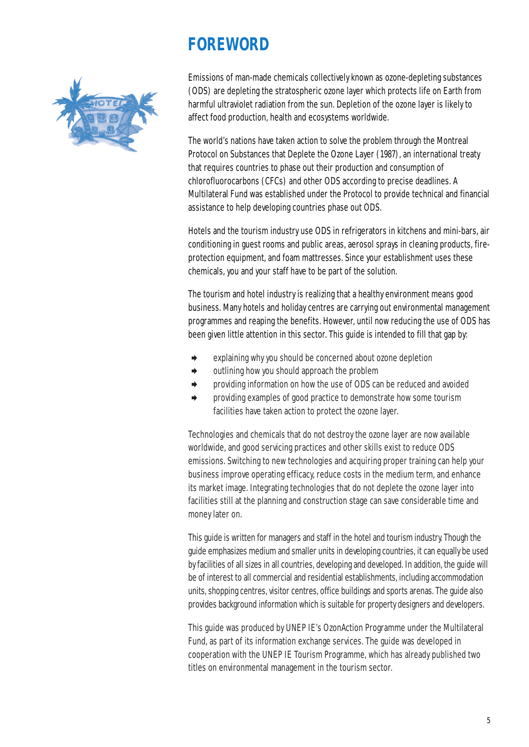# **FOREWORD**



Emissions of man-made chemicals collectively known as ozone-depleting substances (ODS) are depleting the stratospheric ozone layer which protects life on Earth from harmful ultraviolet radiation from the sun. Depletion of the ozone layer is likely to affect food production, health and ecosystems worldwide.

The world's nations have taken action to solve the problem through the Montreal Protocol on Substances that Deplete the Ozone Layer (1987)*,* an international treaty that requires countries to phase out their production and consumption of chlorofluorocarbons (CFCs) and other ODS according to precise deadlines. A Multilateral Fund was established under the Protocol to provide technical and financial assistance to help developing countries phase out ODS.

Hotels and the tourism industry use ODS in refrigerators in kitchens and mini-bars, air conditioning in guest rooms and public areas, aerosol sprays in cleaning products, fireprotection equipment, and foam mattresses. Since your establishment uses these chemicals, you and your staff have to be part of the solution.

The tourism and hotel industry is realizing that a healthy environment means good business. Many hotels and holiday centres are carrying out environmental management programmes and reaping the benefits. However, until now reducing the use of ODS has been given little attention in this sector. This guide is intended to fill that gap by:

- explaining why you should be concerned about ozone depletion
- ➧ outlining how you should approach the problem
- ➧ providing information on how the use of ODS can be reduced and avoided
- ➧ providing examples of good practice to demonstrate how some tourism facilities have taken action to protect the ozone layer.

Technologies and chemicals that do not destroy the ozone layer are now available worldwide, and good servicing practices and other skills exist to reduce ODS emissions. Switching to new technologies and acquiring proper training can help your business improve operating efficacy, reduce costs in the medium term, and enhance its market image. Integrating technologies that do not deplete the ozone layer into facilities still at the planning and construction stage can save considerable time and money later on.

This guide is written for managers and staff in the hotel and tourism industry. Though the guide emphasizes medium and smaller units in developing countries, it can equally be used by facilities of all sizes in all countries, developing and developed. In addition, the guide will be of interest to all commercial and residential establishments, including accommodation units, shopping centres, visitor centres, office buildings and sports arenas. The guide also provides background information which is suitable for property designers and developers.

This guide was produced by UNEP IE's OzonAction Programme under the Multilateral Fund, as part of its information exchange services. The guide was developed in cooperation with the UNEP IE Tourism Programme, which has already published two titles on environmental management in the tourism sector.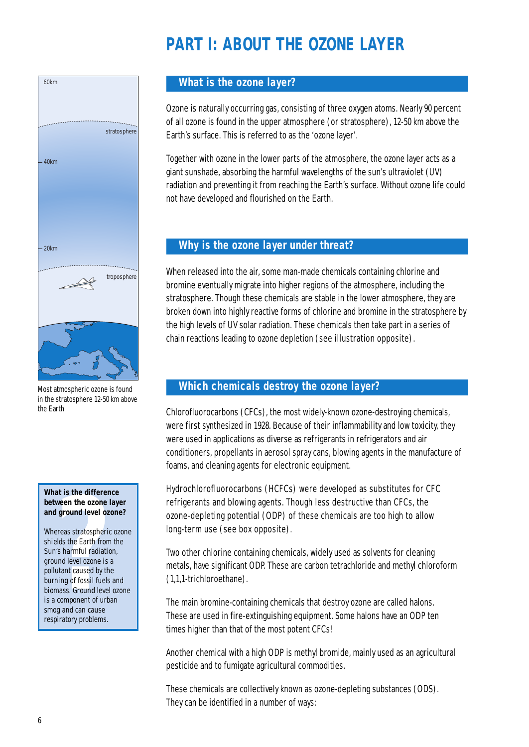# **PART I: ABOUT THE OZONE LAYER**



Most atmospheric ozone is found in the stratosphere 12-50 km above the Earth

#### **What is the difference between the ozone layer and ground level ozone?**

**At is the difference**<br>**Ween the ozone lay**<br>**ground level ozone**<br>**rreas stratospheric ozone**<br>**lds the Earth from th**<br>**'s harmful radiation,**<br>**ind** level ozone is a<br>**nime of fossil fuels an**<br>**component of urban**<br>**component** Whereas stratospheric ozone shields the Earth from the Sun's harmful radiation, ground level ozone is a pollutant caused by the burning of fossil fuels and biomass. Ground level ozone is a component of urban smog and can cause respiratory problems.

## **What is the ozone layer?**

Ozone is naturally occurring gas, consisting of three oxygen atoms. Nearly 90 percent of all ozone is found in the upper atmosphere (or stratosphere), 12-50 km above the Earth's surface. This is referred to as the 'ozone layer'.

Together with ozone in the lower parts of the atmosphere, the ozone layer acts as a giant sunshade, absorbing the harmful wavelengths of the sun's ultraviolet (UV) radiation and preventing it from reaching the Earth's surface. Without ozone life could not have developed and flourished on the Earth.

## **Why is the ozone layer under threat?**

When released into the air, some man-made chemicals containing chlorine and bromine eventually migrate into higher regions of the atmosphere, including the stratosphere. Though these chemicals are stable in the lower atmosphere, they are broken down into highly reactive forms of chlorine and bromine in the stratosphere by the high levels of UV solar radiation. These chemicals then take part in a series of chain reactions leading to ozone depletion (see illustration opposite).

## **Which chemicals destroy the ozone layer?**

Chlorofluorocarbons (CFCs), the most widely-known ozone-destroying chemicals, were first synthesized in 1928. Because of their inflammability and low toxicity, they were used in applications as diverse as refrigerants in refrigerators and air conditioners, propellants in aerosol spray cans, blowing agents in the manufacture of foams, and cleaning agents for electronic equipment.

Hydrochlorofluorocarbons (HCFCs) were developed as substitutes for CFC refrigerants and blowing agents. Though less destructive than CFCs, the ozone-depleting potential (ODP) of these chemicals are too high to allow long-term use (see box opposite).

Two other chlorine containing chemicals, widely used as solvents for cleaning metals, have significant ODP. These are carbon tetrachloride and methyl chloroform (1,1,1-trichloroethane).

The main bromine-containing chemicals that destroy ozone are called halons. These are used in fire-extinguishing equipment. Some halons have an ODP ten times higher than that of the most potent CFCs!

Another chemical with a high ODP is methyl bromide, mainly used as an agricultural pesticide and to fumigate agricultural commodities.

These chemicals are collectively known as ozone-depleting substances (ODS). They can be identified in a number of ways: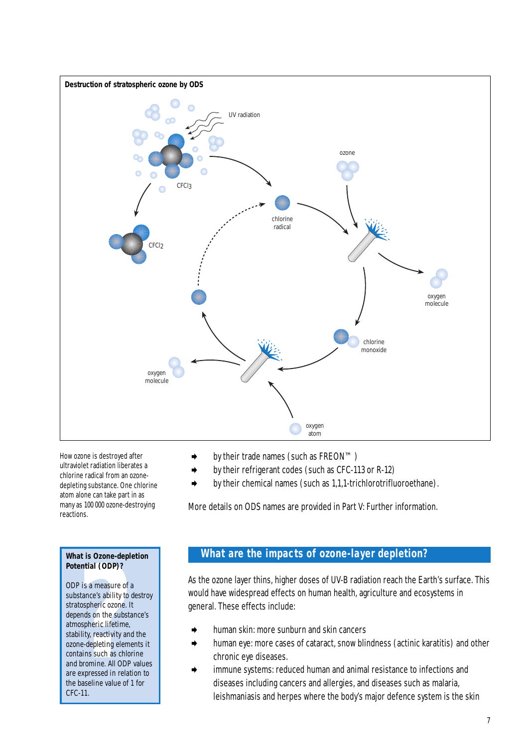

How ozone is destroyed after ultraviolet radiation liberates a chlorine radical from an ozonedepleting substance. One chlorine atom alone can take part in as many as 100 000 ozone-destroying reactions.

#### **What is Ozone-depletion Potential (ODP)?**

**Process CODEPPERT:**<br> **Process CODEPP?**<br> **Process Configuration**<br> **Process Configuration**<br> **Process Configuration**<br> **Process Configuration**<br> **Process Configuration**<br> **Process Configuration**<br> **Process Configuration**<br> **Proce** ODP is a measure of a substance's ability to destroy stratospheric ozone. It depends on the substance's atmospheric lifetime, stability, reactivity and the ozone-depleting elements it contains such as chlorine and bromine. All ODP values are expressed in relation to the baseline value of 1 for CFC-11.

- ➧ by their trade names (such as FREON™)
- ➧ by their refrigerant codes (such as CFC-113 or R-12)
- ➧ by their chemical names (such as 1,1,1-trichlorotrifluoroethane).

More details on ODS names are provided in Part V: Further information.

## **What are the impacts of ozone-layer depletion?**

As the ozone layer thins, higher doses of UV-B radiation reach the Earth's surface. This would have widespread effects on human health, agriculture and ecosystems in general. These effects include:

- human skin: more sunburn and skin cancers
- human eye: more cases of cataract, snow blindness (actinic karatitis) and other chronic eye diseases.
- immune systems: reduced human and animal resistance to infections and diseases including cancers and allergies, and diseases such as malaria, leishmaniasis and herpes where the body's major defence system is the skin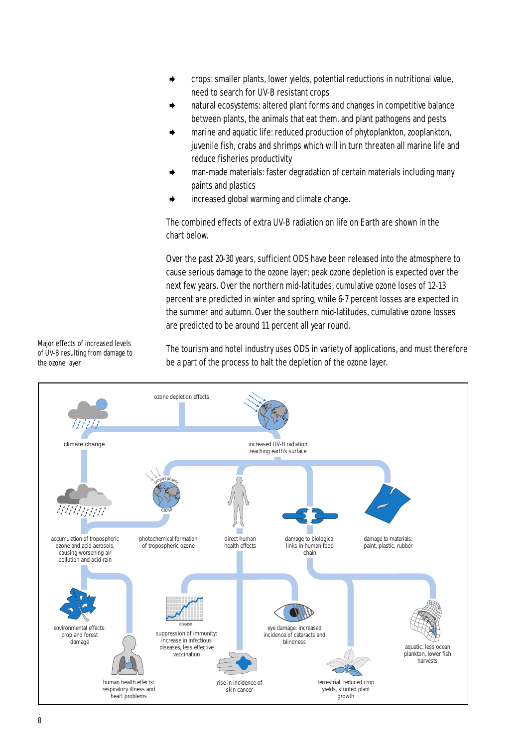- ➧ crops: smaller plants, lower yields, potential reductions in nutritional value, need to search for UV-B resistant crops
- ➧ natural ecosystems: altered plant forms and changes in competitive balance between plants, the animals that eat them, and plant pathogens and pests
- ➧ marine and aquatic life: reduced production of phytoplankton, zooplankton, juvenile fish, crabs and shrimps which will in turn threaten all marine life and reduce fisheries productivity
- man-made materials: faster degradation of certain materials including many paints and plastics
- ➧ increased global warming and climate change.

The combined effects of extra UV-B radiation on life on Earth are shown in the chart below.

Over the past 20-30 years, sufficient ODS have been released into the atmosphere to cause serious damage to the ozone layer; peak ozone depletion is expected over the next few years. Over the northern mid-latitudes, cumulative ozone loses of 12-13 percent are predicted in winter and spring, while 6-7 percent losses are expected in the summer and autumn. Over the southern mid-latitudes, cumulative ozone losses are predicted to be around 11 percent all year round.

Major effects of increased levels of UV-B resulting from damage to the ozone layer

The tourism and hotel industry uses ODS in variety of applications, and must therefore be a part of the process to halt the depletion of the ozone layer.

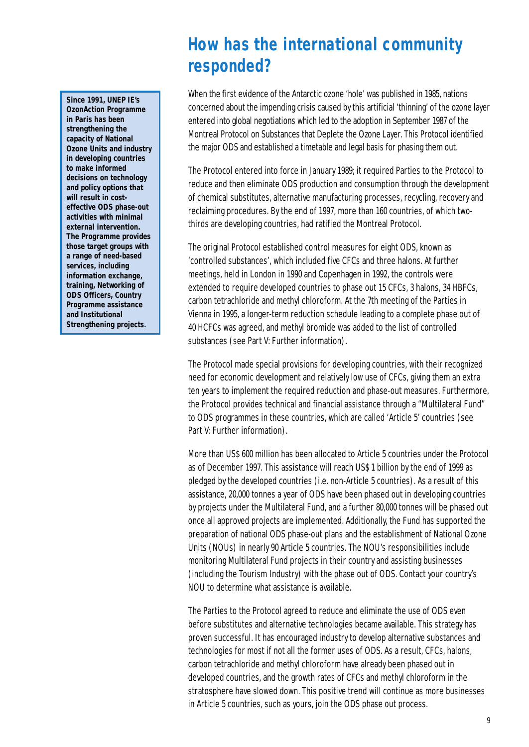# **How has the international community responded?**

When the first evidence of the Antarctic ozone 'hole' was published in 1985, nations concerned about the impending crisis caused by this artificial 'thinning' of the ozone layer entered into global negotiations which led to the adoption in September 1987 of the Montreal Protocol on Substances that Deplete the Ozone Layer. This Protocol identified the major ODS and established a timetable and legal basis for phasing them out.

The Protocol entered into force in January 1989; it required Parties to the Protocol to reduce and then eliminate ODS production and consumption through the development of chemical substitutes, alternative manufacturing processes, recycling, recovery and reclaiming procedures. By the end of 1997, more than 160 countries, of which twothirds are developing countries, had ratified the Montreal Protocol.

The original Protocol established control measures for eight ODS, known as 'controlled substances', which included five CFCs and three halons. At further meetings, held in London in 1990 and Copenhagen in 1992, the controls were extended to require developed countries to phase out 15 CFCs, 3 halons, 34 HBFCs, carbon tetrachloride and methyl chloroform. At the 7th meeting of the Parties in Vienna in 1995, a longer-term reduction schedule leading to a complete phase out of 40 HCFCs was agreed, and methyl bromide was added to the list of controlled substances (see Part V: Further information).

The Protocol made special provisions for developing countries, with their recognized need for economic development and relatively low use of CFCs, giving them an extra ten years to implement the required reduction and phase-out measures. Furthermore, the Protocol provides technical and financial assistance through a "Multilateral Fund" to ODS programmes in these countries, which are called 'Article 5' countries (see Part V: Further information).

More than US\$ 600 million has been allocated to Article 5 countries under the Protocol as of December 1997. This assistance will reach US\$ 1 billion by the end of 1999 as pledged by the developed countries (i.e. non-Article 5 countries). As a result of this assistance, 20,000 tonnes a year of ODS have been phased out in developing countries by projects under the Multilateral Fund, and a further 80,000 tonnes will be phased out once all approved projects are implemented. Additionally, the Fund has supported the preparation of national ODS phase-out plans and the establishment of National Ozone Units (NOUs) in nearly 90 Article 5 countries. The NOU's responsibilities include monitoring Multilateral Fund projects in their country and assisting businesses (including the Tourism Industry) with the phase out of ODS. Contact your country's NOU to determine what assistance is available.

The Parties to the Protocol agreed to reduce and eliminate the use of ODS even before substitutes and alternative technologies became available. This strategy has proven successful. It has encouraged industry to develop alternative substances and technologies for most if not all the former uses of ODS. As a result, CFCs, halons, carbon tetrachloride and methyl chloroform have already been phased out in developed countries, and the growth rates of CFCs and methyl chloroform in the stratosphere have slowed down. This positive trend will continue as more businesses in Article 5 countries, such as yours, join the ODS phase out process.

**Since 1991, UNEP IE's OzonAction Programme in Paris has been strengthening the capacity of National Ozone Units and industry in developing countries to make informed decisions on technology and policy options that will result in costeffective ODS phase-out activities with minimal external intervention. The Programme provides those target groups with a range of need-based services, including information exchange, training, Networking of ODS Officers, Country Programme assistance and Institutional Strengthening projects.**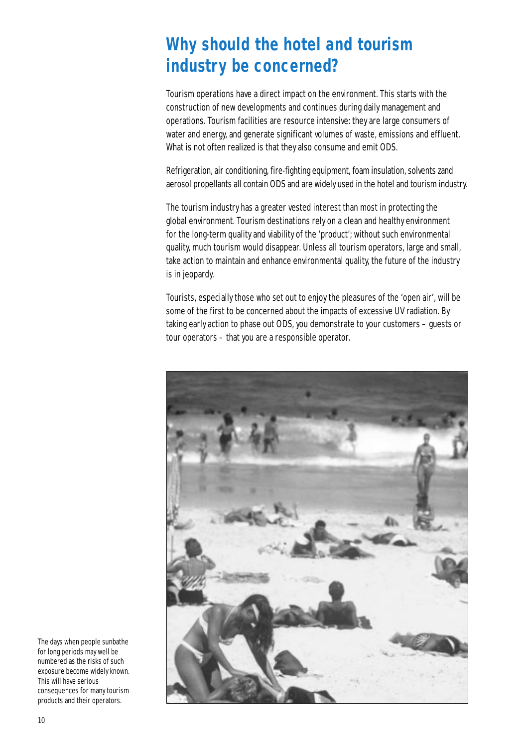# **Why should the hotel and tourism industry be concerned?**

Tourism operations have a direct impact on the environment. This starts with the construction of new developments and continues during daily management and operations. Tourism facilities are resource intensive: they are large consumers of water and energy, and generate significant volumes of waste, emissions and effluent. What is not often realized is that they also consume and emit ODS.

Refrigeration, air conditioning, fire-fighting equipment, foam insulation, solvents zand aerosol propellants all contain ODS and are widely used in the hotel and tourism industry.

The tourism industry has a greater vested interest than most in protecting the global environment. Tourism destinations rely on a clean and healthy environment for the long-term quality and viability of the 'product'; without such environmental quality, much tourism would disappear. Unless all tourism operators, large and small, take action to maintain and enhance environmental quality, the future of the industry is in jeopardy.

Tourists, especially those who set out to enjoy the pleasures of the 'open air', will be some of the first to be concerned about the impacts of excessive UV radiation. By taking early action to phase out ODS, you demonstrate to your customers – guests or tour operators – that you are a responsible operator.



The days when people sunbathe for long periods may well be numbered as the risks of such exposure become widely known. This will have serious consequences for many tourism products and their operators.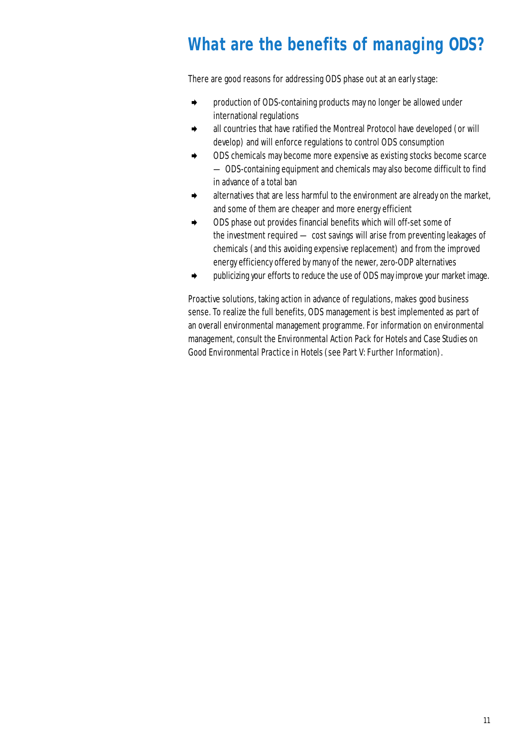# **What are the benefits of managing ODS?**

There are good reasons for addressing ODS phase out at an early stage:

- ➧ production of ODS-containing products may no longer be allowed under international regulations
- ➧ all countries that have ratified the Montreal Protocol have developed (or will develop) and will enforce regulations to control ODS consumption
- ➧ ODS chemicals may become more expensive as existing stocks become scarce — ODS-containing equipment and chemicals may also become difficult to find in advance of a total ban
- ➧ alternatives that are less harmful to the environment are already on the market, and some of them are cheaper and more energy efficient
- ➧ ODS phase out provides financial benefits which will off-set some of the investment required — cost savings will arise from preventing leakages of chemicals (and this avoiding expensive replacement) and from the improved energy efficiency offered by many of the newer, zero-ODP alternatives
- ➧ publicizing your efforts to reduce the use of ODS may improve your market image.

Proactive solutions, taking action in advance of regulations, makes good business sense. To realize the full benefits, ODS management is best implemented as part of an overall environmental management programme. For information on environmental management, consult the *Environmental Action Pack for Hotels* and *Case Studies on Good Environmental Practice in Hotels (*see Part V: Further Information).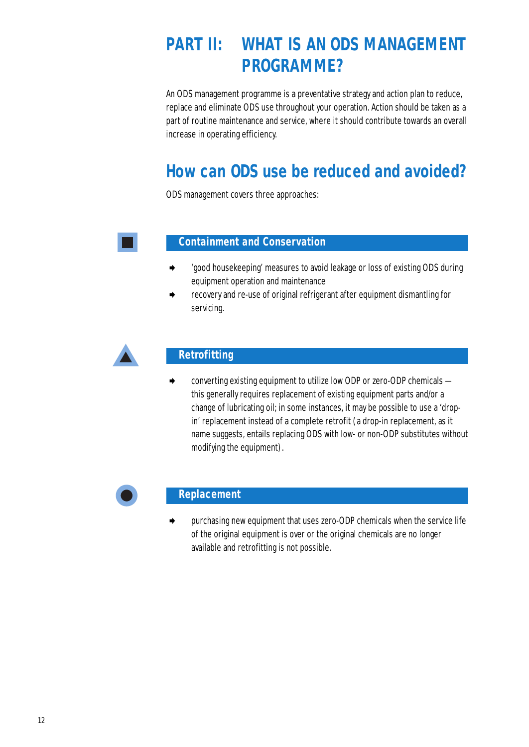# **PART II: WHAT IS AN ODS MANAGEMENT PROGRAMME?**

An ODS management programme is a preventative strategy and action plan to reduce, replace and eliminate ODS use throughout your operation. Action should be taken as a part of routine maintenance and service, where it should contribute towards an overall increase in operating efficiency.

# **How can ODS use be reduced and avoided?**

ODS management covers three approaches:

## **Containment and Conservation**

- ➧ 'good housekeeping' measures to avoid leakage or loss of existing ODS during equipment operation and maintenance
- recovery and re-use of original refrigerant after equipment dismantling for servicing.



## **Retrofitting**

➧ converting existing equipment to utilize low ODP or zero-ODP chemicals this generally requires replacement of existing equipment parts and/or a change of lubricating oil; in some instances, it may be possible to use a 'dropin' replacement instead of a complete retrofit (a drop-in replacement, as it name suggests, entails replacing ODS with low- or non-ODP substitutes without modifying the equipment).



#### **Replacement**

➧ purchasing new equipment that uses zero-ODP chemicals when the service life of the original equipment is over or the original chemicals are no longer available and retrofitting is not possible.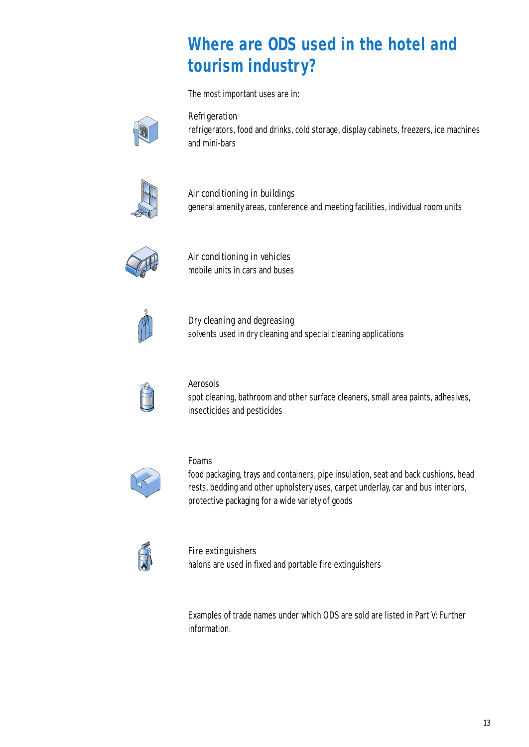# **Where are ODS used in the hotel and tourism industry?**

The most important uses are in:



#### Refrigeration

refrigerators, food and drinks, cold storage, display cabinets, freezers, ice machines and mini-bars



## Air conditioning in buildings general amenity areas, conference and meeting facilities, individual room units



Air conditioning in vehicles mobile units in cars and buses



Dry cleaning and degreasing solvents used in dry cleaning and special cleaning applications



## Aerosols

spot cleaning, bathroom and other surface cleaners, small area paints, adhesives, insecticides and pesticides



#### Foams

food packaging, trays and containers, pipe insulation, seat and back cushions, head rests, bedding and other upholstery uses, carpet underlay, car and bus interiors, protective packaging for a wide variety of goods



# Fire extinguishers

halons are used in fixed and portable fire extinguishers

Examples of trade names under which ODS are sold are listed in Part V: Further information.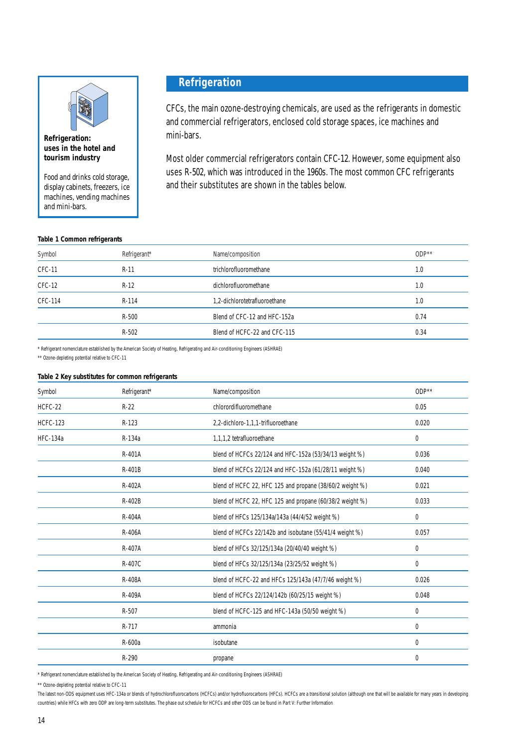

**Refrigeration: uses in the hotel and tourism industry**

Food and drinks cold storage, display cabinets, freezers, ice machines, vending machines and mini-bars.

#### **Table 1 Common refrigerants**

## **Refrigeration**

CFCs, the main ozone-destroying chemicals, are used as the refrigerants in domestic and commercial refrigerators, enclosed cold storage spaces, ice machines and mini-bars.

Most older commercial refrigerators contain CFC-12. However, some equipment also uses R-502, which was introduced in the 1960s. The most common CFC refrigerants and their substitutes are shown in the tables below.

| Refrigerant* | Name/composition              | $ODP***$ |
|--------------|-------------------------------|----------|
| $R-11$       | trichlorofluoromethane        | 1.0      |
| $R-12$       | dichlorofluoromethane         | 1.0      |
| R-114        | 1,2-dichlorotetrafluoroethane | 1.0      |
| $R-500$      | Blend of CFC-12 and HFC-152a  | 0.74     |
| $R-502$      | Blend of HCFC-22 and CFC-115  | 0.34     |
|              |                               |          |

\* Refrigerant nomenclature established by the American Society of Heating, Refrigerating and Air-conditioning Engineers (ASHRAE)

\*\* Ozone-depleting potential relative to CFC-11

#### **Table 2 Key substitutes for common refrigerants**

| Symbol          | Refrigerant* | Name/composition                                         | $ODP***$ |
|-----------------|--------------|----------------------------------------------------------|----------|
| HCFC-22         | $R-22$       | chlorordifluoromethane                                   | 0.05     |
| <b>HCFC-123</b> | $R-123$      | 2,2-dichloro-1,1,1-trifluoroethane                       | 0.020    |
| <b>HFC-134a</b> | R-134a       | 1,1,1,2 tetrafluoroethane                                | 0        |
|                 | R-401A       | blend of HCFCs 22/124 and HFC-152a (53/34/13 weight %)   | 0.036    |
|                 | R-401B       | blend of HCFCs 22/124 and HFC-152a (61/28/11 weight %)   | 0.040    |
|                 | R-402A       | blend of HCFC 22, HFC 125 and propane (38/60/2 weight %) | 0.021    |
|                 | R-402B       | blend of HCFC 22, HFC 125 and propane (60/38/2 weight %) | 0.033    |
|                 | R-404A       | blend of HFCs 125/134a/143a (44/4/52 weight %)           | 0        |
|                 | R-406A       | blend of HCFCs 22/142b and isobutane (55/41/4 weight %)  | 0.057    |
|                 | R-407A       | blend of HFCs 32/125/134a (20/40/40 weight %)            | 0        |
|                 | R-407C       | blend of HFCs 32/125/134a (23/25/52 weight %)            | 0        |
|                 | R-408A       | blend of HCFC-22 and HFCs 125/143a (47/7/46 weight %)    | 0.026    |
|                 | R-409A       | blend of HCFCs 22/124/142b (60/25/15 weight %)           | 0.048    |
|                 | R-507        | blend of HCFC-125 and HFC-143a (50/50 weight %)          | 0        |
|                 | R-717        | ammonia                                                  | 0        |
|                 | R-600a       | isobutane                                                | $\Omega$ |
|                 | R-290        | propane                                                  | 0        |

\* Refrigerant nomenclature established by the American Society of Heating, Refrigerating and Air-conditioning Engineers (ASHRAE)

\*\* Ozone-depleting potential relative to CFC-11

The latest non-ODS equipment uses HFC-134a or blends of hydrochlorofluorocarbons (HCFCs) and/or hydrofluorocarbons (HFCs). HCFCs are a transitional solution (although one that will be available for many years in developing countries) while HFCs with zero ODP are long-term substitutes. The phase out schedule for HCFCs and other ODS can be found in Part V: Further Information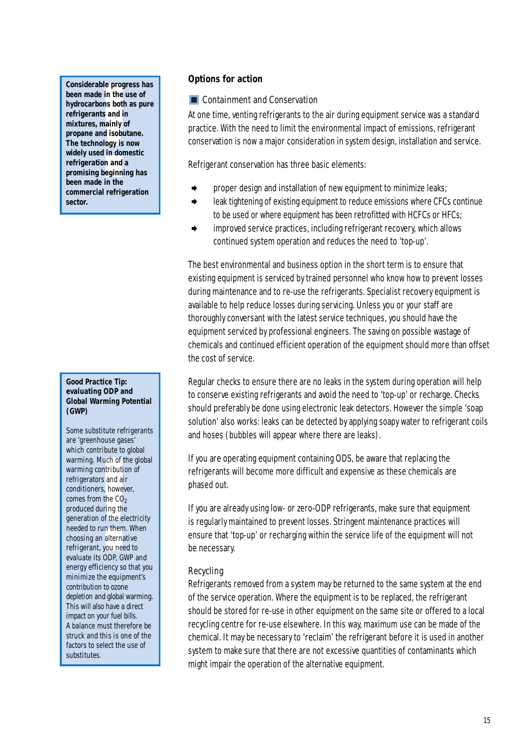rable progn<br>de in the u<br>trbons both<br>ants and in<br>s, mainly o<br>and isobut<br>and isobut<br>mology is 1<br>sed in dom<br>ation and a<br>ng beginnin<br>de in the<br>cial refrige **Considerable progress has been made in the use of hydrocarbons both as pure refrigerants and in mixtures, mainly of propane and isobutane. The technology is now widely used in domestic refrigeration and a promising beginning has been made in the commercial refrigeration sector.**

#### **Good Practice Tip: evaluating ODP and Global Warming Potential (GWP)**

*leader to p.*<br> *Much of the contributions and air*<br> *eners, howevers and air*<br> *eners, howevers in the CO<sub>2</sub><br>
<i>during the ele o run them.*<br> *ena alternations in the CO2*<br> *is ODP, GW*<br> *fficiency so*<br> *e the equipment* Some substitute refrigerants are 'greenhouse gases' which contribute to global warming. Much of the global warming contribution of refrigerators and air conditioners, however, comes from the  $CO<sub>2</sub>$ produced during the generation of the electricity needed to run them. When choosing an alternative refrigerant, you need to evaluate its ODP, GWP and energy efficiency so that you minimize the equipment's contribution to ozone depletion and global warming. This will also have a direct impact on your fuel bills. A balance must therefore be struck and this is one of the factors to select the use of substitutes.

#### **Options for action**

#### **EX Containment and Conservation**

At one time, venting refrigerants to the air during equipment service was a standard practice. With the need to limit the environmental impact of emissions, refrigerant conservation is now a major consideration in system design, installation and service.

Refrigerant conservation has three basic elements:

- ➧ proper design and installation of new equipment to minimize leaks;
- leak tightening of existing equipment to reduce emissions where CFCs continue to be used or where equipment has been retrofitted with HCFCs or HFCs;
- ➧ improved service practices, including refrigerant recovery, which allows continued system operation and reduces the need to 'top-up'.

The best environmental and business option in the short term is to ensure that existing equipment is serviced by trained personnel who know how to prevent losses during maintenance and to re-use the refrigerants. Specialist recovery equipment is available to help reduce losses during servicing. Unless you or your staff are thoroughly conversant with the latest service techniques, you should have the equipment serviced by professional engineers. The saving on possible wastage of chemicals and continued efficient operation of the equipment should more than offset the cost of service.

Regular checks to ensure there are no leaks in the system during operation will help to conserve existing refrigerants and avoid the need to 'top-up' or recharge. Checks should preferably be done using electronic leak detectors. However the simple 'soap solution' also works: leaks can be detected by applying soapy water to refrigerant coils and hoses (bubbles will appear where there are leaks).

If you are operating equipment containing ODS, be aware that replacing the refrigerants will become more difficult and expensive as these chemicals are phased out.

If you are already using low- or zero-ODP refrigerants, make sure that equipment is regularly maintained to prevent losses. Stringent maintenance practices will ensure that 'top-up' or recharging within the service life of the equipment will not be necessary.

## Recycling

Refrigerants removed from a system may be returned to the same system at the end of the service operation. Where the equipment is to be replaced, the refrigerant should be stored for re-use in other equipment on the same site or offered to a local recycling centre for re-use elsewhere. In this way, maximum use can be made of the chemical. It may be necessary to 'reclaim' the refrigerant before it is used in another system to make sure that there are not excessive quantities of contaminants which might impair the operation of the alternative equipment.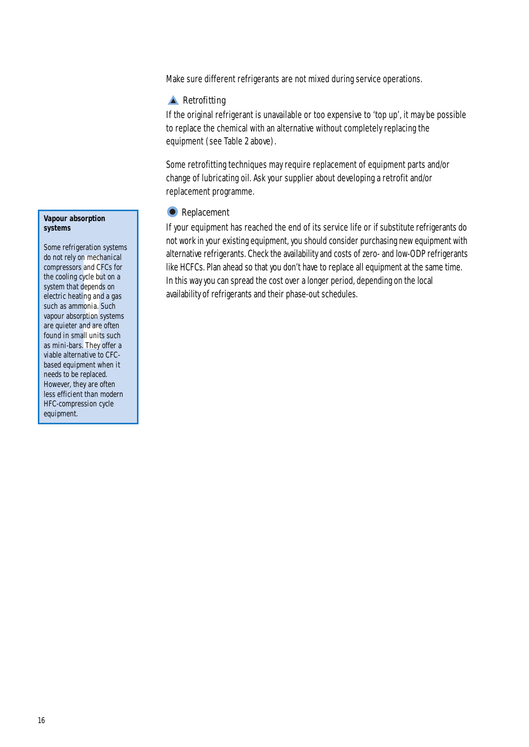Make sure different refrigerants are not mixed during service operations.

#### **A** Retrofitting

If the original refrigerant is unavailable or too expensive to 'top up', it may be possible to replace the chemical with an alternative without completely replacing the equipment (see Table 2 above).

Some retrofitting techniques may require replacement of equipment parts and/or change of lubricating oil. Ask your supplier about developing a retrofit and/or replacement programme.

#### **•** Replacement

If your equipment has reached the end of its service life or if substitute refrigerants do not work in your existing equipment, you should consider purchasing new equipment with alternative refrigerants. Check the availability and costs of zero- and low-ODP refrigerants like HCFCs. Plan ahead so that you don't have to replace all equipment at the same time. In this way you can spread the cost over a longer period, depending on the local availability of refrigerants and their phase-out schedules.

#### **Vapour absorption systems**

**Example 20**<br>Iy on mechasions and CFC<br>and CFC solutions and CFC<br>example and anomonia. Subsorption synchron synchron space<br>and units bars. They of<br>ernative to ulipment which be replaced Some refrigeration systems do not rely on mechanical compressors and CFCs for the cooling cycle but on a system that depends on electric heating and a gas such as ammonia. Such vapour absorption systems are quieter and are often found in small units such as mini-bars. They offer a viable alternative to CFCbased equipment when it needs to be replaced. However, they are often less efficient than modern HFC-compression cycle equipment.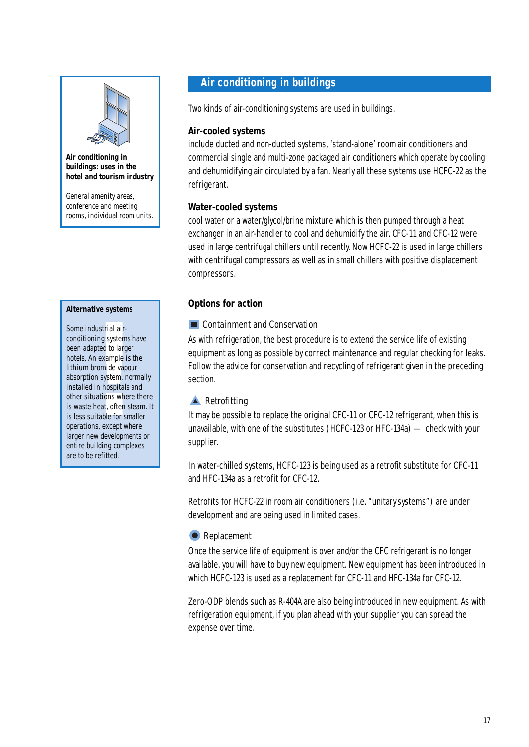

#### **Air conditioning in buildings: uses in the hotel and tourism industry**

General amenity areas, conference and meeting rooms, individual room units.

#### **Alternative systems**

dustrial air-<br>
ning system<br>
npted to larg<br>
n example i<br>
promide vap<br>
n in hospital<br>
uations whe<br>
heat, often<br>
nitable for sı<br>
ns, except w<br>
w developm Some industrial airconditioning systems have been adapted to larger hotels. An example is the lithium bromide vapour absorption system, normally installed in hospitals and other situations where there is waste heat, often steam. It is less suitable for smaller operations, except where larger new developments or entire building complexes are to be refitted.

## **Air conditioning in buildings**

Two kinds of air-conditioning systems are used in buildings.

#### **Air-cooled systems**

include ducted and non-ducted systems, 'stand-alone' room air conditioners and commercial single and multi-zone packaged air conditioners which operate by cooling and dehumidifying air circulated by a fan. Nearly all these systems use HCFC-22 as the refrigerant.

#### **Water-cooled systems**

cool water or a water/glycol/brine mixture which is then pumped through a heat exchanger in an air-handler to cool and dehumidify the air. CFC-11 and CFC-12 were used in large centrifugal chillers until recently. Now HCFC-22 is used in large chillers with centrifugal compressors as well as in small chillers with positive displacement compressors.

#### **Options for action**

#### **E** Containment and Conservation

As with refrigeration, the best procedure is to extend the service life of existing equipment as long as possible by correct maintenance and regular checking for leaks. Follow the advice for conservation and recycling of refrigerant given in the preceding section.

## **A** Retrofitting

It may be possible to replace the original CFC-11 or CFC-12 refrigerant, when this is unavailable, with one of the substitutes (HCFC-123 or HFC-134a) — check with your supplier.

In water-chilled systems, HCFC-123 is being used as a retrofit substitute for CFC-11 and HFC-134a as a retrofit for CFC-12.

Retrofits for HCFC-22 in room air conditioners (i.e. "unitary systems") are under development and are being used in limited cases.

#### **C** Replacement

Once the service life of equipment is over and/or the CFC refrigerant is no longer available, you will have to buy new equipment. New equipment has been introduced in which HCFC-123 is used as a replacement for CFC-11 and HFC-134a for CFC-12.

Zero-ODP blends such as R-404A are also being introduced in new equipment. As with refrigeration equipment, if you plan ahead with your supplier you can spread the expense over time.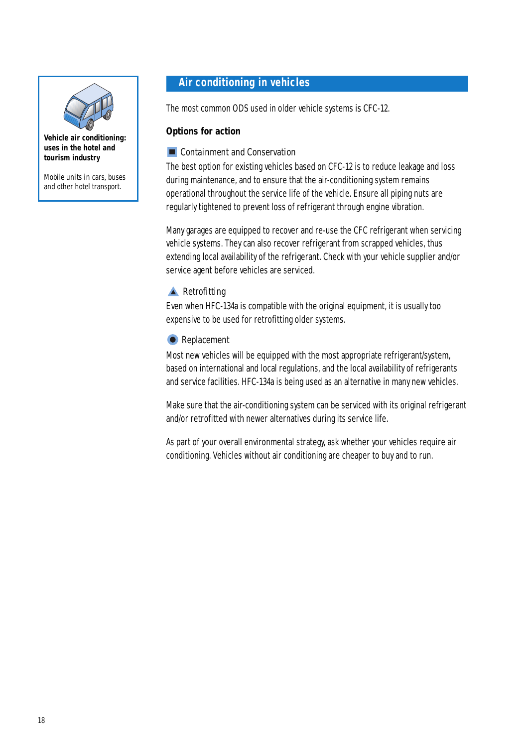

**Vehicle air conditioning: uses in the hotel and tourism industry**

Mobile units in cars, buses and other hotel transport.

# **Air conditioning in vehicles**

The most common ODS used in older vehicle systems is CFC-12.

#### **Options for action**

#### **Exercise Containment and Conservation**

The best option for existing vehicles based on CFC-12 is to reduce leakage and loss during maintenance, and to ensure that the air-conditioning system remains operational throughout the service life of the vehicle. Ensure all piping nuts are regularly tightened to prevent loss of refrigerant through engine vibration.

Many garages are equipped to recover and re-use the CFC refrigerant when servicing vehicle systems. They can also recover refrigerant from scrapped vehicles, thus extending local availability of the refrigerant. Check with your vehicle supplier and/or service agent before vehicles are serviced.

## **A** Retrofitting

Even when HFC-134a is compatible with the original equipment, it is usually too expensive to be used for retrofitting older systems.

#### **•** Replacement

Most new vehicles will be equipped with the most appropriate refrigerant/system, based on international and local regulations, and the local availability of refrigerants and service facilities. HFC-134a is being used as an alternative in many new vehicles.

Make sure that the air-conditioning system can be serviced with its original refrigerant and/or retrofitted with newer alternatives during its service life.

As part of your overall environmental strategy, ask whether your vehicles require air conditioning. Vehicles without air conditioning are cheaper to buy and to run.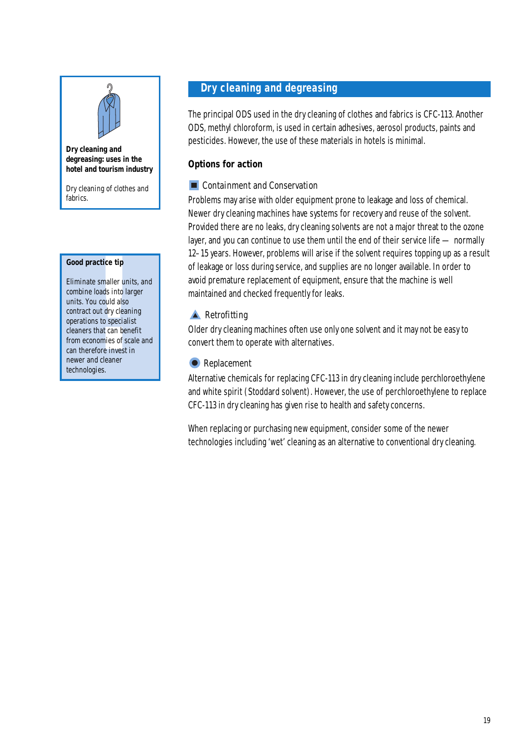

#### **Dry cleaning and degreasing: uses in the hotel and tourism industry**

Dry cleaning of clothes and fabrics.

#### **Good practice tip**

**Example 1**<br> **e** smaller ur<br>
loads into la<br>
u could also<br>
out dry clea<br>
ns to special<br>
that can be<br>
nomies of s<br>
fore invest<br>
d cleaner<br>
gies. Eliminate smaller units, and combine loads into larger units. You could also contract out dry cleaning operations to specialist cleaners that can benefit from economies of scale and can therefore invest in newer and cleaner technologies.

# **Dry cleaning and degreasing**

The principal ODS used in the dry cleaning of clothes and fabrics is CFC-113. Another ODS, methyl chloroform, is used in certain adhesives, aerosol products, paints and pesticides. However, the use of these materials in hotels is minimal.

#### **Options for action**

#### **Containment and Conservation**

Problems may arise with older equipment prone to leakage and loss of chemical. Newer dry cleaning machines have systems for recovery and reuse of the solvent. Provided there are no leaks, dry cleaning solvents are not a major threat to the ozone layer, and you can continue to use them until the end of their service life — normally 12–15 years. However, problems will arise if the solvent requires topping up as a result of leakage or loss during service, and supplies are no longer available. In order to avoid premature replacement of equipment, ensure that the machine is well maintained and checked frequently for leaks.

#### **A** Retrofitting

Older dry cleaning machines often use only one solvent and it may not be easy to convert them to operate with alternatives.

#### **•** Replacement

Alternative chemicals for replacing CFC-113 in dry cleaning include perchloroethylene and white spirit (Stoddard solvent). However, the use of perchloroethylene to replace CFC-113 in dry cleaning has given rise to health and safety concerns.

When replacing or purchasing new equipment, consider some of the newer technologies including 'wet' cleaning as an alternative to conventional dry cleaning.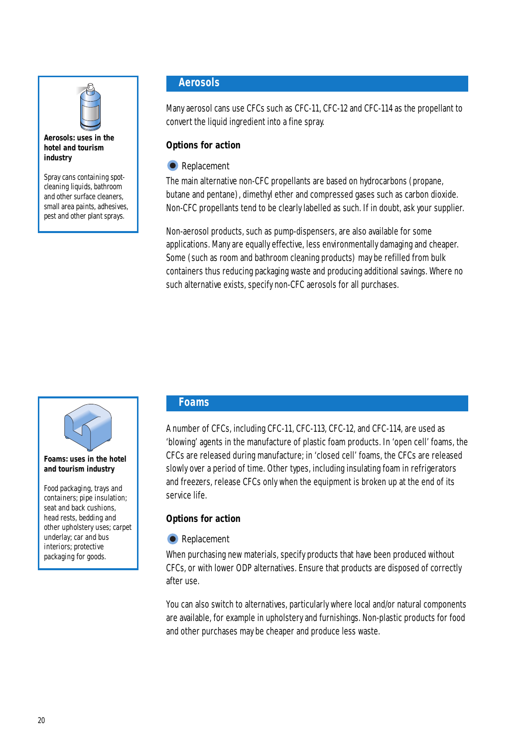

#### **Aerosols: uses in the hotel and tourism industry**

Spray cans containing spotcleaning liquids, bathroom and other surface cleaners, small area paints, adhesives, pest and other plant sprays.

# **Aerosols**

Many aerosol cans use CFCs such as CFC-11, CFC-12 and CFC-114 as the propellant to convert the liquid ingredient into a fine spray.

## **Options for action**

## **•** Replacement

The main alternative non-CFC propellants are based on hydrocarbons (propane, butane and pentane), dimethyl ether and compressed gases such as carbon dioxide. Non-CFC propellants tend to be clearly labelled as such. If in doubt, ask your supplier.

Non-aerosol products, such as pump-dispensers, are also available for some applications. Many are equally effective, less environmentally damaging and cheaper. Some (such as room and bathroom cleaning products) may be refilled from bulk containers thus reducing packaging waste and producing additional savings. Where no such alternative exists, specify non-CFC aerosols for all purchases.



#### **Foams: uses in the hotel and tourism industry**

Food packaging, trays and containers; pipe insulation; seat and back cushions, head rests, bedding and other upholstery uses; carpet underlay; car and bus interiors; protective packaging for goods.

# **Foams**

A number of CFCs, including CFC-11, CFC-113, CFC-12, and CFC-114, are used as 'blowing' agents in the manufacture of plastic foam products. In 'open cell' foams, the CFCs are released during manufacture; in 'closed cell' foams, the CFCs are released slowly over a period of time. Other types, including insulating foam in refrigerators and freezers, release CFCs only when the equipment is broken up at the end of its service life.

# **Options for action**

## **•** Replacement

When purchasing new materials, specify products that have been produced without CFCs, or with lower ODP alternatives. Ensure that products are disposed of correctly after use.

You can also switch to alternatives, particularly where local and/or natural components are available, for example in upholstery and furnishings. Non-plastic products for food and other purchases may be cheaper and produce less waste.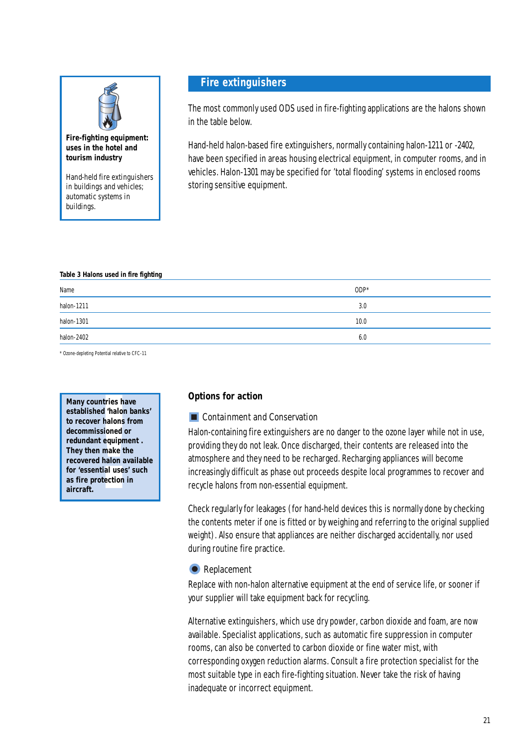

#### **Fire-fighting equipment: uses in the hotel and tourism industry**

Hand-held fire extinguishers in buildings and vehicles; automatic systems in buildings.

## **Fire extinguishers**

The most commonly used ODS used in fire-fighting applications are the halons shown in the table below.

Hand-held halon-based fire extinguishers, normally containing halon-1211 or -2402, have been specified in areas housing electrical equipment, in computer rooms, and in vehicles. Halon-1301 may be specified for 'total flooding' systems in enclosed rooms storing sensitive equipment.

#### **Table 3 Halons used in fire fighting**

| Name                                                                                                                                                                                                                                                                                                                                                                                                                                                                                     | $ODP*$ |
|------------------------------------------------------------------------------------------------------------------------------------------------------------------------------------------------------------------------------------------------------------------------------------------------------------------------------------------------------------------------------------------------------------------------------------------------------------------------------------------|--------|
| halon-1211<br><u> Linda and a lin</u>                                                                                                                                                                                                                                                                                                                                                                                                                                                    | 3.0    |
| halon-1301<br>$\frac{1}{2} \left( \frac{1}{2} \right) \left( \frac{1}{2} \right) \left( \frac{1}{2} \right) \left( \frac{1}{2} \right) \left( \frac{1}{2} \right) \left( \frac{1}{2} \right) \left( \frac{1}{2} \right) \left( \frac{1}{2} \right) \left( \frac{1}{2} \right) \left( \frac{1}{2} \right) \left( \frac{1}{2} \right) \left( \frac{1}{2} \right) \left( \frac{1}{2} \right) \left( \frac{1}{2} \right) \left( \frac{1}{2} \right) \left( \frac{1}{2} \right) \left( \frac$ | 10.0   |
| halon-2402                                                                                                                                                                                                                                                                                                                                                                                                                                                                               | 6.0    |

\* Ozone-depleting Potential relative to CFC-11

**! Many countries have established 'halon banks' to recover halons from decommissioned or redundant equipment . They then make the recovered halon available for 'essential uses' such as fire protection in aircraft.**

#### **Options for action**

#### **EXCONTENT** Containment and Conservation

Halon-containing fire extinguishers are no danger to the ozone layer while not in use, providing they do not leak. Once discharged, their contents are released into the atmosphere and they need to be recharged. Recharging appliances will become increasingly difficult as phase out proceeds despite local programmes to recover and recycle halons from non-essential equipment.

Check regularly for leakages (for hand-held devices this is normally done by checking the contents meter if one is fitted or by weighing and referring to the original supplied weight). Also ensure that appliances are neither discharged accidentally, nor used during routine fire practice.

#### **•** Replacement

Replace with non-halon alternative equipment at the end of service life, or sooner if your supplier will take equipment back for recycling.

Alternative extinguishers, which use dry powder, carbon dioxide and foam, are now available. Specialist applications, such as automatic fire suppression in computer rooms, can also be converted to carbon dioxide or fine water mist, with corresponding oxygen reduction alarms. Consult a fire protection specialist for the most suitable type in each fire-fighting situation. Never take the risk of having inadequate or incorrect equipment.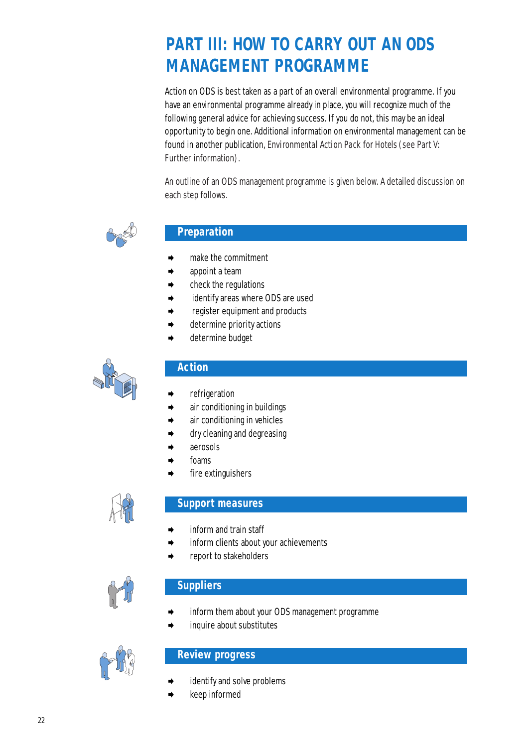# **PART III: HOW TO CARRY OUT AN ODS MANAGEMENT PROGRAMME**

Action on ODS is best taken as a part of an overall environmental programme. If you have an environmental programme already in place, you will recognize much of the following general advice for achieving success. If you do not, this may be an ideal opportunity to begin one. Additional information on environmental management can be found in another publication, *Environmental Action Pack for Hotels* (see Part V: Further information).

An outline of an ODS management programme is given below. A detailed discussion on each step follows.



# **Preparation**

- ➧ make the commitment
- appoint a team
- ➧ check the regulations
- identify areas where ODS are used
- ➧ register equipment and products
- determine priority actions
- ➧ determine budget



## **Action**

- refrigeration
- ➧ air conditioning in buildings
- ➧ air conditioning in vehicles
- ➧ dry cleaning and degreasing
- ➧ aerosols
- foams
- fire extinguishers



## **Support measures**

- inform and train staff
- inform clients about your achievements
- report to stakeholders



## **Suppliers**

- inform them about your ODS management programme
- inquire about substitutes



## **Review progress**

- identify and solve problems
- ➧ keep informed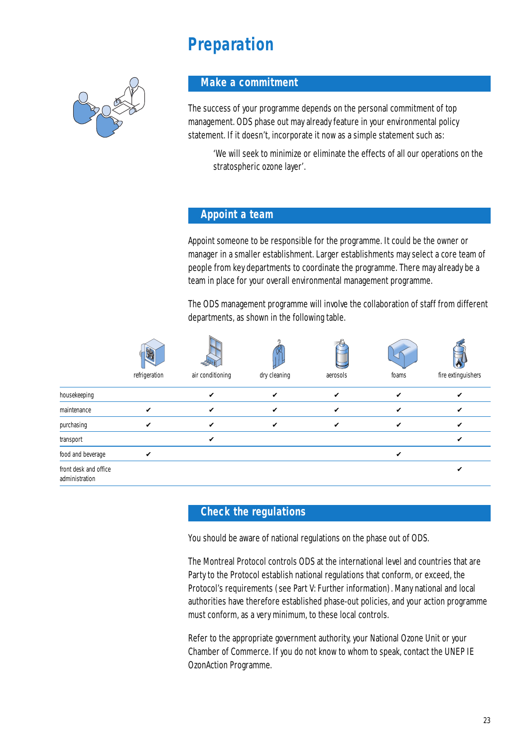# **Preparation**



#### **Make a commitment**

The success of your programme depends on the personal commitment of top management. ODS phase out may already feature in your environmental policy statement. If it doesn't, incorporate it now as a simple statement such as:

'We will seek to minimize or eliminate the effects of all our operations on the stratospheric ozone layer'.

#### **Appoint a team**

Appoint someone to be responsible for the programme. It could be the owner or manager in a smaller establishment. Larger establishments may select a core team of people from key departments to coordinate the programme. There may already be a team in place for your overall environmental management programme.

The ODS management programme will involve the collaboration of staff from different departments, as shown in the following table.

|                                         | <b>CENT</b><br>refrigeration | air conditioning           | dry cleaning | aerosols | foams | fire extinguishers |
|-----------------------------------------|------------------------------|----------------------------|--------------|----------|-------|--------------------|
|                                         |                              |                            |              |          |       |                    |
| housekeeping                            |                              | ✔                          | ✔            | V        | ✔     | v                  |
| maintenance                             | V                            | V                          | V            | V        | ✓     | V                  |
| purchasing                              | ✔                            | $\boldsymbol{\mathcal{U}}$ | V            | V        | ✔     | v                  |
| transport                               |                              | V                          |              |          |       | V                  |
| food and beverage                       | V                            |                            |              |          | ✓     |                    |
| front desk and office<br>administration |                              |                            |              |          |       |                    |

#### **Check the regulations**

You should be aware of national regulations on the phase out of ODS.

The Montreal Protocol controls ODS at the international level and countries that are Party to the Protocol establish national regulations that conform, or exceed, the Protocol's requirements (see Part V: Further information). Many national and local authorities have therefore established phase-out policies, and your action programme must conform, as a very minimum, to these local controls.

Refer to the appropriate government authority, your National Ozone Unit or your Chamber of Commerce. If you do not know to whom to speak, contact the UNEP IE OzonAction Programme.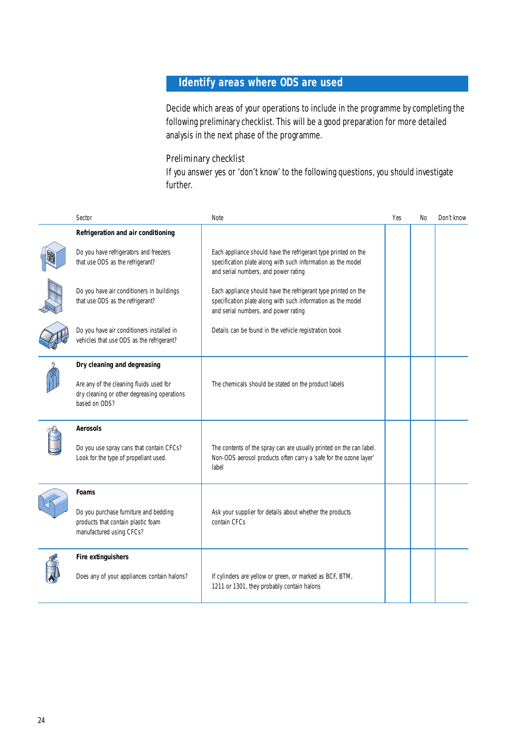# **Identify areas where ODS are used**

Decide which areas of your operations to include in the programme by completing the following preliminary checklist. This will be a good preparation for more detailed analysis in the next phase of the programme.

#### Preliminary checklist

If you answer yes or 'don't know' to the following questions, you should investigate further.

| Sector                                                                                                                                 | Note                                                                                                                                                                   | Yes | <b>No</b> | Don't know |
|----------------------------------------------------------------------------------------------------------------------------------------|------------------------------------------------------------------------------------------------------------------------------------------------------------------------|-----|-----------|------------|
| Refrigeration and air conditioning                                                                                                     |                                                                                                                                                                        |     |           |            |
| Do you have refrigerators and freezers<br>that use ODS as the refrigerant?                                                             | Each appliance should have the refrigerant type printed on the<br>specification plate along with such information as the model<br>and serial numbers, and power rating |     |           |            |
| Do you have air conditioners in buildings<br>that use ODS as the refrigerant?                                                          | Each appliance should have the refrigerant type printed on the<br>specification plate along with such information as the model<br>and serial numbers, and power rating |     |           |            |
| Do you have air conditioners installed in<br>vehicles that use ODS as the refrigerant?                                                 | Details can be found in the vehicle registration book                                                                                                                  |     |           |            |
| Dry cleaning and degreasing<br>Are any of the cleaning fluids used for<br>dry cleaning or other degreasing operations<br>based on ODS? | The chemicals should be stated on the product labels                                                                                                                   |     |           |            |
| Aerosols<br>Do you use spray cans that contain CFCs?<br>Look for the type of propellant used.                                          | The contents of the spray can are usually printed on the can label.<br>Non-ODS aerosol products often carry a 'safe for the ozone layer'<br>label                      |     |           |            |
| Foams<br>Do you purchase furniture and bedding<br>products that contain plastic foam<br>manufactured using CFCs?                       | Ask your supplier for details about whether the products<br>contain CFCs                                                                                               |     |           |            |
| Fire extinguishers<br>Does any of your appliances contain halons?                                                                      | If cylinders are yellow or green, or marked as BCF, BTM,<br>1211 or 1301, they probably contain halons                                                                 |     |           |            |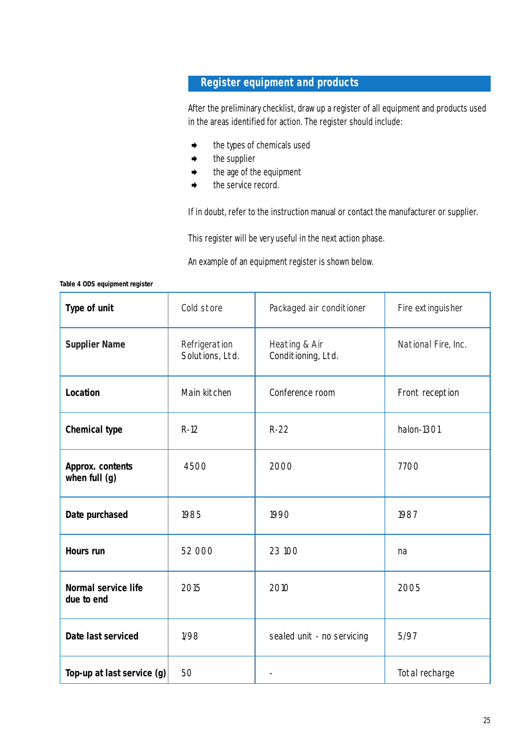# **Register equipment and products**

After the preliminary checklist, draw up a register of all equipment and products used in the areas identified for action. The register should include:

- the types of chemicals used
- $\blacklozenge$  the supplier
- the age of the equipment
- the service record.

If in doubt, refer to the instruction manual or contact the manufacturer or supplier.

This register will be very useful in the next action phase.

An example of an equipment register is shown below.

**Table 4 ODS equipment register**

| Type of unit                      | Cold store                       | Packaged air conditioner            | Fire extinguisher   |
|-----------------------------------|----------------------------------|-------------------------------------|---------------------|
| <b>Supplier Name</b>              | Refrigeration<br>Solutions, Ltd. | Heating & Air<br>Conditioning, Ltd. | National Fire, Inc. |
| Location                          | Main kitchen                     | Conference room                     | Front reception     |
| <b>Chemical type</b>              | $R-12$                           | $R-22$                              | halon-1301          |
| Approx. contents<br>when full (g) | 4500                             | 2000                                | 7700                |
| Date purchased                    | 1985                             | 1990                                | 1987                |
| Hours run                         | 52 000                           | 23 100                              | na                  |
| Normal service life<br>due to end | 2015                             | 2010                                | 2005                |
| Date last serviced                | 1/98                             | sealed unit - no servicing          | 5/97                |
| Top-up at last service (g)        | 50                               |                                     | Total recharge      |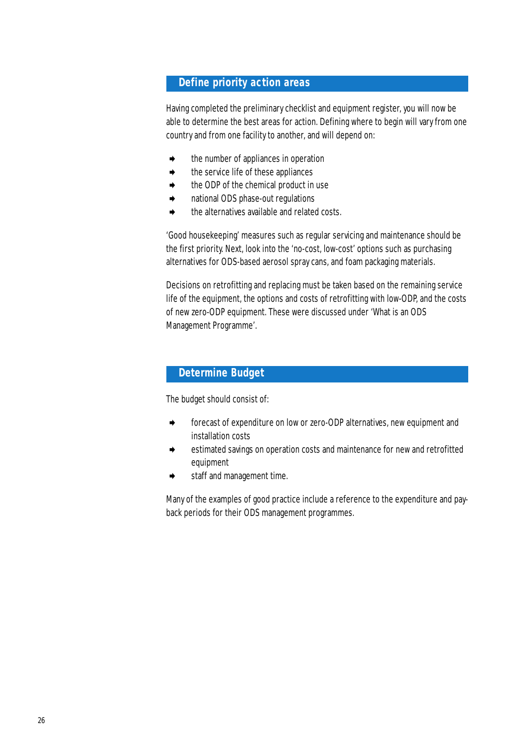## **Define priority action areas**

Having completed the preliminary checklist and equipment register, you will now be able to determine the best areas for action. Defining where to begin will vary from one country and from one facility to another, and will depend on:

- the number of appliances in operation
- the service life of these appliances
- the ODP of the chemical product in use
- ➧ national ODS phase-out regulations
- the alternatives available and related costs.

'Good housekeeping' measures such as regular servicing and maintenance should be the first priority. Next, look into the 'no-cost, low-cost' options such as purchasing alternatives for ODS-based aerosol spray cans, and foam packaging materials.

Decisions on retrofitting and replacing must be taken based on the remaining service life of the equipment, the options and costs of retrofitting with low-ODP, and the costs of new zero-ODP equipment. These were discussed under 'What is an ODS **Management Programme'.** 

# **Determine Budget**

The budget should consist of:

- forecast of expenditure on low or zero-ODP alternatives, new equipment and installation costs
- estimated savings on operation costs and maintenance for new and retrofitted equipment
- staff and management time.

Many of the examples of good practice include a reference to the expenditure and payback periods for their ODS management programmes.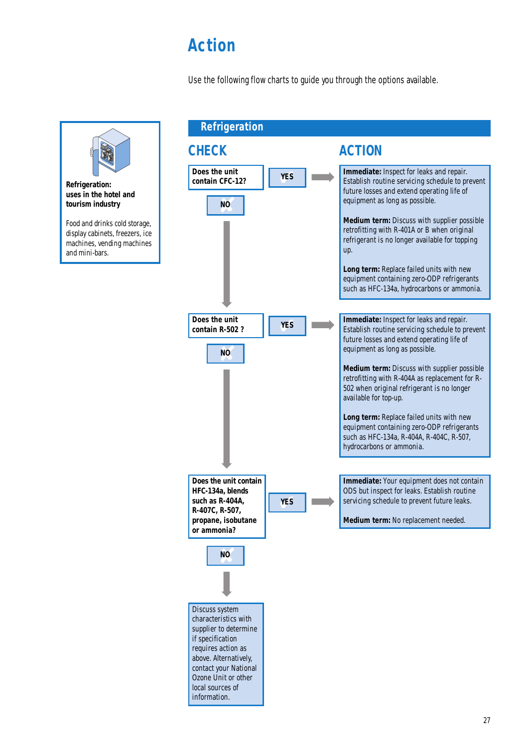# **Action**

Use the following flow charts to guide you through the options available.

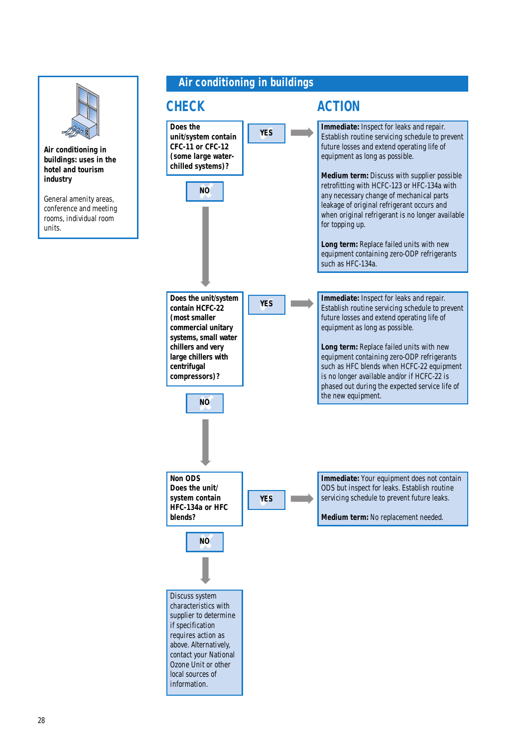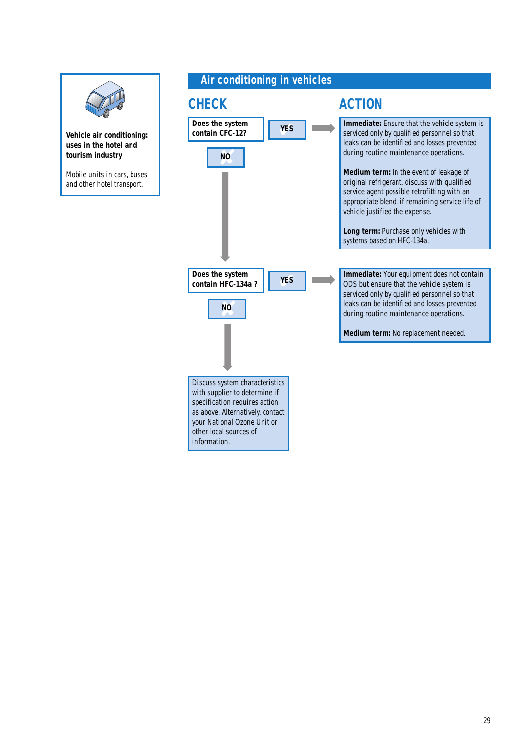

**Vehicle air conditioning: uses in the hotel and tourism industry**

Mobile units in cars, buses and other hotel transport.

## **Air conditioning in vehicles**



**Immediate:** Ensure that the vehicle system is serviced only by qualified personnel so that leaks can be identified and losses prevented during routine maintenance operations.

**Medium term:** In the event of leakage of original refrigerant, discuss with qualified service agent possible retrofitting with an appropriate blend, if remaining service life of vehicle justified the expense.

**Long term:** Purchase only vehicles with systems based on HFC-134a.

**Immediate:** Your equipment does not contain ODS but ensure that the vehicle system is serviced only by qualified personnel so that leaks can be identified and losses prevented during routine maintenance operations.

**Medium term:** No replacement needed.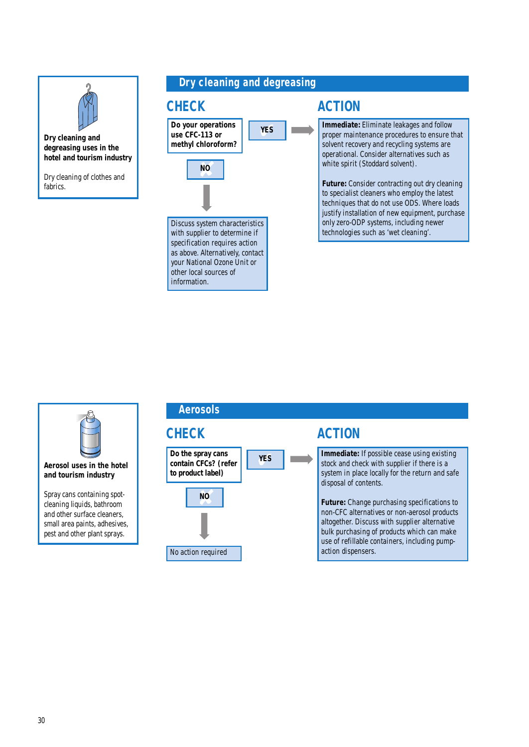

**Dry cleaning and degreasing uses in the hotel and tourism industry**

Dry cleaning of clothes and fabrics.

# **Dry cleaning and degreasing**





your National Ozone Unit or other local sources of information.

**Immediate:** Eliminate leakages and follow proper maintenance procedures to ensure that solvent recovery and recycling systems are operational. Consider alternatives such as white spirit (Stoddard solvent).

**Future:** Consider contracting out dry cleaning to specialist cleaners who employ the latest techniques that do not use ODS. Where loads justify installation of new equipment, purchase only zero-ODP systems, including newer technologies such as 'wet cleaning'.



**Aerosol uses in the hotel and tourism industry**

Spray cans containing spotcleaning liquids, bathroom and other surface cleaners, small area paints, adhesives, pest and other plant sprays.

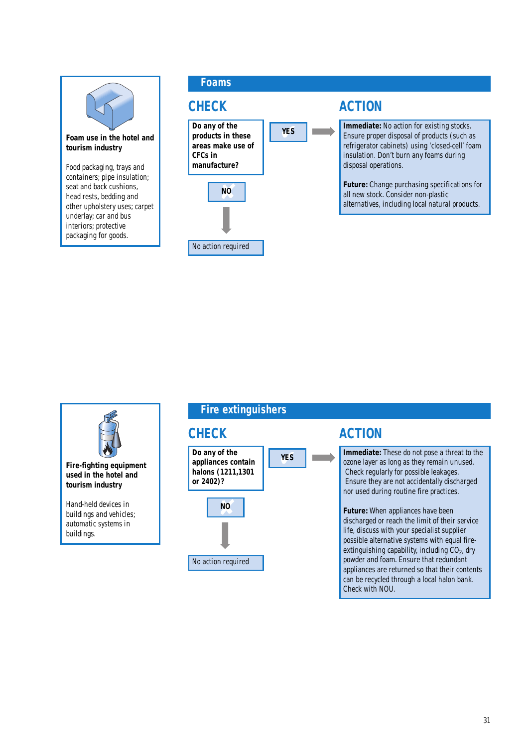

**Foam use in the hotel and tourism industry**

Food packaging, trays and containers; pipe insulation; seat and back cushions, head rests, bedding and other upholstery uses; carpet underlay; car and bus interiors; protective packaging for goods.





**Immediate:** These do not pose a threat to the ozone layer as long as they remain unused. Check regularly for possible leakages. Ensure they are not accidentally discharged nor used during routine fire practices.

**Future:** When appliances have been discharged or reach the limit of their service life, discuss with your specialist supplier possible alternative systems with equal fireextinguishing capability, including  $CO<sub>2</sub>$ , dry powder and foam. Ensure that redundant appliances are returned so that their contents can be recycled through a local halon bank. Check with NOU.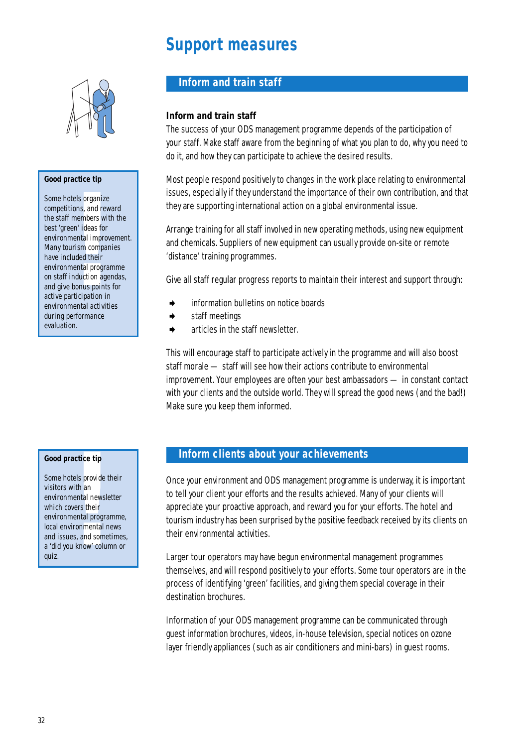# **Support measures**



#### **Good practice tip**

tels organiz<br>ions, and re<br>members w<br>en' ideas fou<br>nental impromis<br>luded their<br>induction ag<br>bonus point<br>ricipation i<br>tricipation i<br>tricipation i<br>ental activi Some hotels organize competitions, and reward the staff members with the best 'green' ideas for environmental improvement. Many tourism companies have included their environmental programme on staff induction agendas, and give bonus points for active participation in environmental activities during performance evaluation.

## **Inform and train staff**

#### **Inform and train staff**

The success of your ODS management programme depends of the participation of your staff. Make staff aware from the beginning of what you plan to do, why you need to do it, and how they can participate to achieve the desired results.

Most people respond positively to changes in the work place relating to environmental issues, especially if they understand the importance of their own contribution, and that they are supporting international action on a global environmental issue.

Arrange training for all staff involved in new operating methods, using new equipment and chemicals. Suppliers of new equipment can usually provide on-site or remote 'distance' training programmes.

Give all staff regular progress reports to maintain their interest and support through:

- information bulletins on notice boards
- staff meetings
- ➧ articles in the staff newsletter.

This will encourage staff to participate actively in the programme and will also boost staff morale — staff will see how their actions contribute to environmental improvement. Your employees are often your best ambassadors — in constant contact with your clients and the outside world. They will spread the good news (and the bad!) Make sure you keep them informed.

#### **Good practice tip**

**Example 25**<br>**Example 25**<br>**Example 26**<br>**Example 26**<br>**Example 26**<br>**Example 26**<br>**Example 26**<br>**Example 26**<br>**Example 26**<br>**Example 26**<br>**Example 26**<br>**Example 26**<br>**Example 26**<br>**Example 26**<br>**Example 26**<br>**Example 26** Some hotels provide their visitors with an environmental newsletter which covers their environmental programme, local environmental news and issues, and sometimes, a 'did you know' column or quiz.

#### **Inform clients about your achievements**

Once your environment and ODS management programme is underway, it is important to tell your client your efforts and the results achieved. Many of your clients will appreciate your proactive approach, and reward you for your efforts. The hotel and tourism industry has been surprised by the positive feedback received by its clients on their environmental activities.

Larger tour operators may have begun environmental management programmes themselves, and will respond positively to your efforts. Some tour operators are in the process of identifying 'green' facilities, and giving them special coverage in their destination brochures.

Information of your ODS management programme can be communicated through guest information brochures, videos, in-house television, special notices on ozone layer friendly appliances (such as air conditioners and mini-bars) in guest rooms.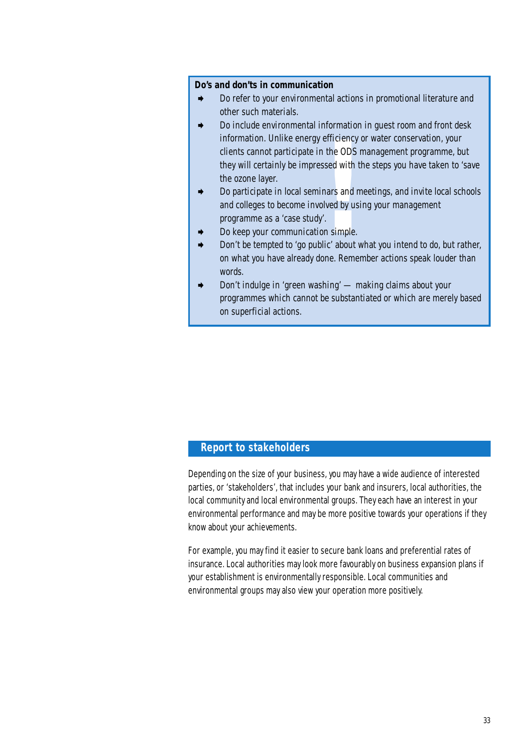#### **Do's and don'ts in communication**

- ➧ Do refer to your environmental actions in promotional literature and other such materials.
- **!** Do include environmental information in guest room and front desk information. Unlike energy efficiency or water conservation, your clients cannot participate in the ODS management programme, but they will certainly be impressed with the steps you have taken to 'save the ozone layer.
- ➧ Do participate in local seminars and meetings, and invite local schools and colleges to become involved by using your management programme as a 'case study'.
- ➧ Do keep your communication simple.
- Don't be tempted to 'go public' about what you intend to do, but rather, on what you have already done. Remember actions speak louder than words.
- ➧ Don't indulge in 'green washing' making claims about your programmes which cannot be substantiated or which are merely based on superficial actions.

#### **Report to stakeholders**

Depending on the size of your business, you may have a wide audience of interested parties, or 'stakeholders', that includes your bank and insurers, local authorities, the local community and local environmental groups. They each have an interest in your environmental performance and may be more positive towards your operations if they know about your achievements.

For example, you may find it easier to secure bank loans and preferential rates of insurance. Local authorities may look more favourably on business expansion plans if your establishment is environmentally responsible. Local communities and environmental groups may also view your operation more positively.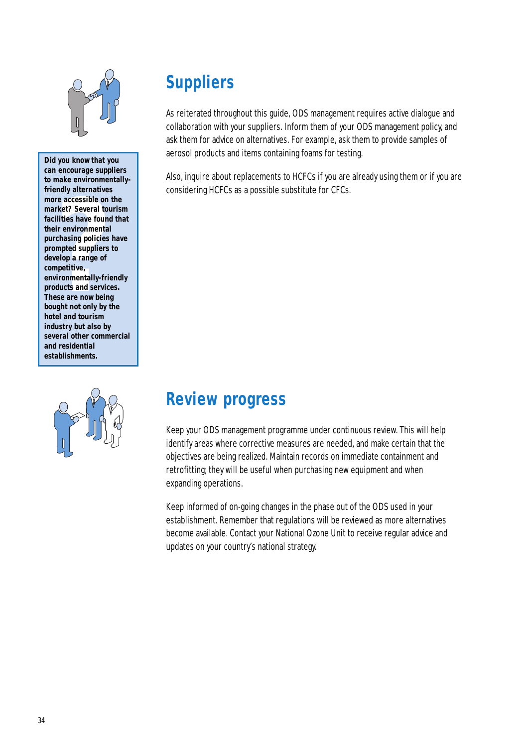

rary accreasible on the<br>re accessible on the<br>ket? Several touris<br>lities have found the<br>invironmental<br>chasing policies ha<br>mpted suppliers to<br>elop a range of<br>petitive,<br>ironmentally-friend<br>ducts and services.<br>se are now being **Did you know that you can encourage suppliers to make environmentallyfriendly alternatives more accessible on the market? Several tourism facilities have found that their environmental purchasing policies have prompted suppliers to develop a range of competitive, environmentally-friendly products and services. These are now being bought not only by the hotel and tourism industry but also by several other commercial and residential establishments.** 



# **Suppliers**

As reiterated throughout this guide, ODS management requires active dialogue and collaboration with your suppliers. Inform them of your ODS management policy, and ask them for advice on alternatives. For example, ask them to provide samples of aerosol products and items containing foams for testing.

Also, inquire about replacements to HCFCs if you are already using them or if you are considering HCFCs as a possible substitute for CFCs.

# **Review progress**

Keep your ODS management programme under continuous review. This will help identify areas where corrective measures are needed, and make certain that the objectives are being realized. Maintain records on immediate containment and retrofitting; they will be useful when purchasing new equipment and when expanding operations.

Keep informed of on-going changes in the phase out of the ODS used in your establishment. Remember that regulations will be reviewed as more alternatives become available. Contact your National Ozone Unit to receive regular advice and updates on your country's national strategy.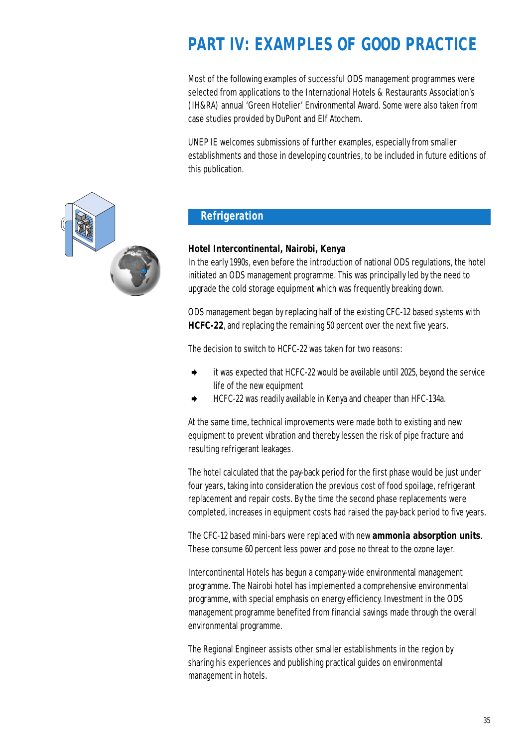# **PART IV: EXAMPLES OF GOOD PRACTICE**

Most of the following examples of successful ODS management programmes were selected from applications to the International Hotels & Restaurants Association's (IH&RA) annual 'Green Hotelier' Environmental Award. Some were also taken from case studies provided by DuPont and Elf Atochem.

UNEP IE welcomes submissions of further examples, especially from smaller establishments and those in developing countries, to be included in future editions of this publication.



# **Refrigeration**

#### **Hotel Intercontinental, Nairobi, Kenya**

In the early 1990s, even before the introduction of national ODS regulations, the hotel initiated an ODS management programme. This was principally led by the need to upgrade the cold storage equipment which was frequently breaking down.

ODS management began by replacing half of the existing CFC-12 based systems with **HCFC-22**, and replacing the remaining 50 percent over the next five years.

The decision to switch to HCFC-22 was taken for two reasons:

- ➧ it was expected that HCFC-22 would be available until 2025, beyond the service life of the new equipment
- ➧ HCFC-22 was readily available in Kenya and cheaper than HFC-134a.

At the same time, technical improvements were made both to existing and new equipment to prevent vibration and thereby lessen the risk of pipe fracture and resulting refrigerant leakages.

The hotel calculated that the pay-back period for the first phase would be just under four years, taking into consideration the previous cost of food spoilage, refrigerant replacement and repair costs. By the time the second phase replacements were completed, increases in equipment costs had raised the pay-back period to five years.

The CFC-12 based mini-bars were replaced with new **ammonia absorption units**. These consume 60 percent less power and pose no threat to the ozone layer.

Intercontinental Hotels has begun a company-wide environmental management programme. The Nairobi hotel has implemented a comprehensive environmental programme, with special emphasis on energy efficiency. Investment in the ODS management programme benefited from financial savings made through the overall environmental programme.

The Regional Engineer assists other smaller establishments in the region by sharing his experiences and publishing practical guides on environmental management in hotels.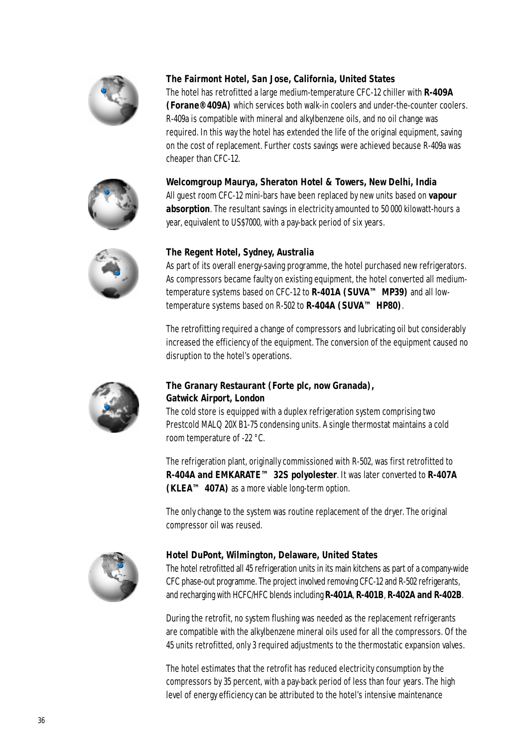

#### **The Fairmont Hotel, San Jose, California, United States**

The hotel has retrofitted a large medium-temperature CFC-12 chiller with **R-409A (Forane®409A)** which services both walk-in coolers and under-the-counter coolers. R-409a is compatible with mineral and alkylbenzene oils, and no oil change was required. In this way the hotel has extended the life of the original equipment, saving on the cost of replacement. Further costs savings were achieved because R-409a was cheaper than CFC-12.





All guest room CFC-12 mini-bars have been replaced by new units based on **vapour absorption**. The resultant savings in electricity amounted to 50 000 kilowatt-hours a year, equivalent to US\$7000, with a pay-back period of six years.



#### **The Regent Hotel, Sydney, Australia**

As part of its overall energy-saving programme, the hotel purchased new refrigerators. As compressors became faulty on existing equipment, the hotel converted all mediumtemperature systems based on CFC-12 to **R-401A (SUVA™ MP39)** and all lowtemperature systems based on R-502 to **R-404A (SUVA™ HP80)**.

The retrofitting required a change of compressors and lubricating oil but considerably increased the efficiency of the equipment. The conversion of the equipment caused no disruption to the hotel's operations.



#### **The Granary Restaurant (Forte plc, now Granada), Gatwick Airport, London**

The cold store is equipped with a duplex refrigeration system comprising two Prestcold MALQ 20X B1-75 condensing units. A single thermostat maintains a cold room temperature of -22 °C.

The refrigeration plant, originally commissioned with R-502, was first retrofitted to **R-404A and EMKARATE™ 32S polyolester**. It was later converted to **R-407A (KLEA™ 407A)** as a more viable long-term option.

The only change to the system was routine replacement of the dryer. The original compressor oil was reused.



#### **Hotel DuPont, Wilmington, Delaware, United States**

The hotel retrofitted all 45 refrigeration units in its main kitchens as part of a company-wide CFC phase-out programme. The project involved removing CFC-12 and R-502 refrigerants, and recharging with HCFC/HFC blends including **R-401A**, **R-401B**, **R-402A and R-402B**.

During the retrofit, no system flushing was needed as the replacement refrigerants are compatible with the alkylbenzene mineral oils used for all the compressors. Of the 45 units retrofitted, only 3 required adjustments to the thermostatic expansion valves.

The hotel estimates that the retrofit has reduced electricity consumption by the compressors by 35 percent, with a pay-back period of less than four years. The high level of energy efficiency can be attributed to the hotel's intensive maintenance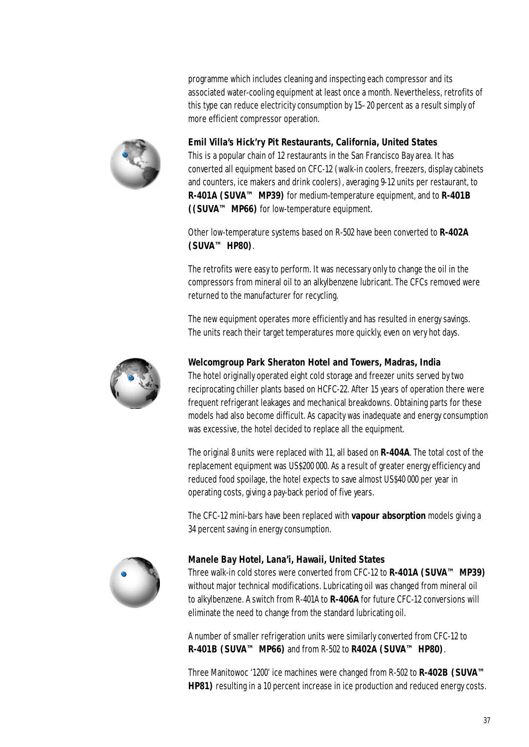programme which includes cleaning and inspecting each compressor and its associated water-cooling equipment at least once a month. Nevertheless, retrofits of this type can reduce electricity consumption by 15–20 percent as a result simply of more efficient compressor operation.



**Emil Villa's Hick'ry Pit Restaurants, California, United States** 

This is a popular chain of 12 restaurants in the San Francisco Bay area. It has converted all equipment based on CFC-12 (walk-in coolers, freezers, display cabinets and counters, ice makers and drink coolers), averaging 9-12 units per restaurant, to **R-401A (SUVA™ MP39)** for medium-temperature equipment, and to **R-401B ((SUVA™ MP66)** for low-temperature equipment.

Other low-temperature systems based on R-502 have been converted to **R-402A (SUVA™ HP80)**.

The retrofits were easy to perform. It was necessary only to change the oil in the compressors from mineral oil to an alkylbenzene lubricant. The CFCs removed were returned to the manufacturer for recycling.

The new equipment operates more efficiently and has resulted in energy savings. The units reach their target temperatures more quickly, even on very hot days.



#### **Welcomgroup Park Sheraton Hotel and Towers, Madras, India**

The hotel originally operated eight cold storage and freezer units served by two reciprocating chiller plants based on HCFC-22. After 15 years of operation there were frequent refrigerant leakages and mechanical breakdowns. Obtaining parts for these models had also become difficult. As capacity was inadequate and energy consumption was excessive, the hotel decided to replace all the equipment.

The original 8 units were replaced with 11, all based on **R-404A**. The total cost of the replacement equipment was US\$200 000. As a result of greater energy efficiency and reduced food spoilage, the hotel expects to save almost US\$40000 per year in operating costs, giving a pay-back period of five years.

The CFC-12 mini-bars have been replaced with **vapour absorption** models giving a 34 percent saving in energy consumption.



#### **Manele Bay Hotel, Lana'i, Hawaii, United States**

Three walk-in cold stores were converted from CFC-12 to **R-401A (SUVA™ MP39)** without major technical modifications. Lubricating oil was changed from mineral oil to alkylbenzene. A switch from R-401A to **R-406A** for future CFC-12 conversions will eliminate the need to change from the standard lubricating oil.

A number of smaller refrigeration units were similarly converted from CFC-12 to **R-401B (SUVA™ MP66)** and from R-502 to **R402A (SUVA™ HP80)**.

Three Manitowoc '1200' ice machines were changed from R-502 to **R-402B (SUVA™ HP81)** resulting in a 10 percent increase in ice production and reduced energy costs.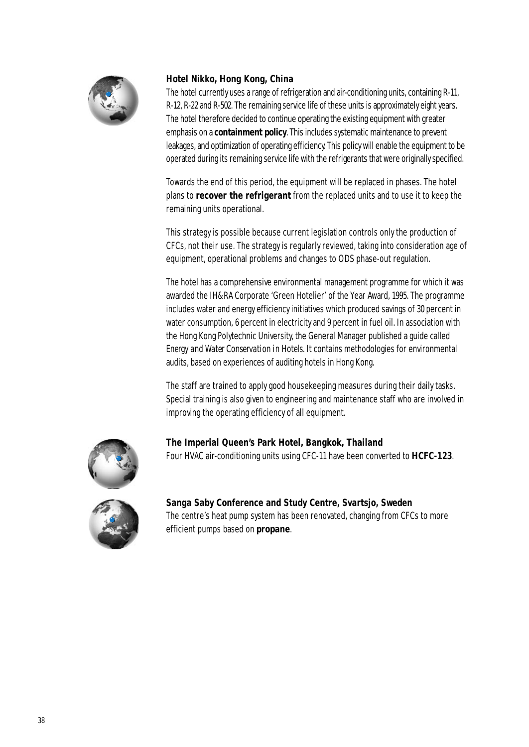

## **Hotel Nikko, Hong Kong, China**

The hotel currently uses a range of refrigeration and air-conditioning units, containing R-11, R-12, R-22 and R-502. The remaining service life of these units is approximately eight years. The hotel therefore decided to continue operating the existing equipment with greater emphasis on a **containment policy**. This includes systematic maintenance to prevent leakages, and optimization of operating efficiency. This policy will enable the equipment to be operated during its remaining service life with the refrigerants that were originally specified.

Towards the end of this period, the equipment will be replaced in phases. The hotel plans to **recover the refrigerant** from the replaced units and to use it to keep the remaining units operational.

This strategy is possible because current legislation controls only the production of CFCs, not their use. The strategy is regularly reviewed, taking into consideration age of equipment, operational problems and changes to ODS phase-out regulation.

The hotel has a comprehensive environmental management programme for which it was awarded the IH&RA Corporate 'Green Hotelier' of the Year Award, 1995. The programme includes water and energy efficiency initiatives which produced savings of 30 percent in water consumption, 6 percent in electricity and 9 percent in fuel oil. In association with the Hong Kong Polytechnic University, the General Manager published a guide called *Energy and Water Conservation in Hotels*. It contains methodologies for environmental audits, based on experiences of auditing hotels in Hong Kong.

The staff are trained to apply good housekeeping measures during their daily tasks. Special training is also given to engineering and maintenance staff who are involved in improving the operating efficiency of all equipment.



**The Imperial Queen's Park Hotel, Bangkok, Thailand** Four HVAC air-conditioning units using CFC-11 have been converted to **HCFC-123**.



**Sanga Saby Conference and Study Centre, Svartsjo, Sweden** The centre's heat pump system has been renovated, changing from CFCs to more efficient pumps based on **propane**.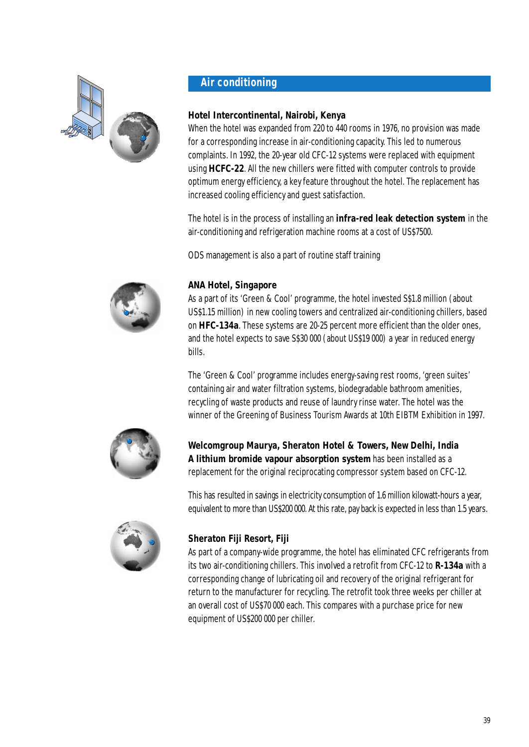

# **Air conditioning**

# **Hotel Intercontinental, Nairobi, Kenya**

When the hotel was expanded from 220 to 440 rooms in 1976, no provision was made for a corresponding increase in air-conditioning capacity. This led to numerous complaints. In 1992, the 20-year old CFC-12 systems were replaced with equipment using **HCFC-22**. All the new chillers were fitted with computer controls to provide optimum energy efficiency, a key feature throughout the hotel. The replacement has increased cooling efficiency and guest satisfaction.

The hotel is in the process of installing an **infra-red leak detection system** in the air-conditioning and refrigeration machine rooms at a cost of US\$7500.

ODS management is also a part of routine staff training



## **ANA Hotel, Singapore**

As a part of its 'Green & Cool' programme, the hotel invested S\$1.8 million (about US\$1.15 million) in new cooling towers and centralized air-conditioning chillers, based on **HFC-134a**. These systems are 20-25 percent more efficient than the older ones, and the hotel expects to save S\$30000 (about US\$19000) a year in reduced energy bills.

The 'Green & Cool' programme includes energy-saving rest rooms, 'green suites' containing air and water filtration systems, biodegradable bathroom amenities, recycling of waste products and reuse of laundry rinse water. The hotel was the winner of the Greening of Business Tourism Awards at 10th EIBTM Exhibition in 1997.



**Welcomgroup Maurya, Sheraton Hotel & Towers, New Delhi, India A lithium bromide vapour absorption system** has been installed as a replacement for the original reciprocating compressor system based on CFC-12.

This has resulted in savings in electricity consumption of 1.6 million kilowatt-hours a year, equivalent to more than US\$200 000. At this rate, pay back is expected in less than 1.5 years.



# **Sheraton Fiji Resort, Fiji**

As part of a company-wide programme, the hotel has eliminated CFC refrigerants from its two air-conditioning chillers. This involved a retrofit from CFC-12 to **R-134a** with a corresponding change of lubricating oil and recovery of the original refrigerant for return to the manufacturer for recycling. The retrofit took three weeks per chiller at an overall cost of US\$70000 each. This compares with a purchase price for new equipment of US\$200 000 per chiller.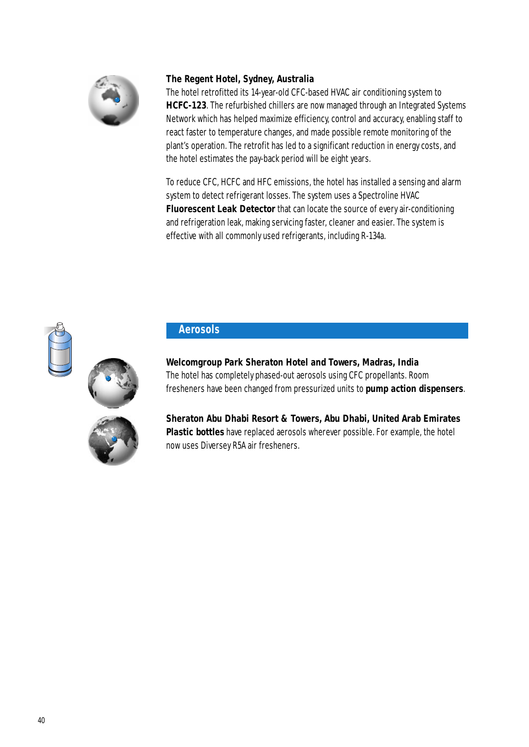

## **The Regent Hotel, Sydney, Australia**

The hotel retrofitted its 14-year-old CFC-based HVAC air conditioning system to **HCFC-123**. The refurbished chillers are now managed through an Integrated Systems Network which has helped maximize efficiency, control and accuracy, enabling staff to react faster to temperature changes, and made possible remote monitoring of the plant's operation. The retrofit has led to a significant reduction in energy costs, and the hotel estimates the pay-back period will be eight years.

To reduce CFC, HCFC and HFC emissions, the hotel has installed a sensing and alarm system to detect refrigerant losses. The system uses a Spectroline HVAC **Fluorescent Leak Detector** that can locate the source of every air-conditioning and refrigeration leak, making servicing faster, cleaner and easier. The system is effective with all commonly used refrigerants, including R-134a.



## **Aerosols**

**Welcomgroup Park Sheraton Hotel and Towers, Madras, India** The hotel has completely phased-out aerosols using CFC propellants. Room fresheners have been changed from pressurized units to **pump action dispensers**.



**Sheraton Abu Dhabi Resort & Towers, Abu Dhabi, United Arab Emirates Plastic bottles** have replaced aerosols wherever possible. For example, the hotel now uses Diversey R5A air fresheners.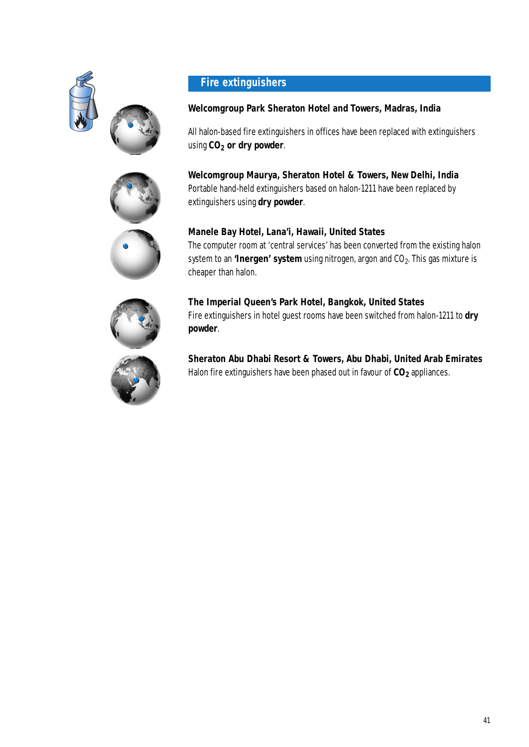



#### **Welcomgroup Park Sheraton Hotel and Towers, Madras, India**

All halon-based fire extinguishers in offices have been replaced with extinguishers using **CO2 or dry powder**.

**Welcomgroup Maurya, Sheraton Hotel & Towers, New Delhi, India** Portable hand-held extinguishers based on halon-1211 have been replaced by extinguishers using **dry powder**.







**The Imperial Queen's Park Hotel, Bangkok, United States**  Fire extinguishers in hotel guest rooms have been switched from halon-1211 to **dry powder**.

**Sheraton Abu Dhabi Resort & Towers, Abu Dhabi, United Arab Emirates** Halon fire extinguishers have been phased out in favour of  $CO_2$  appliances.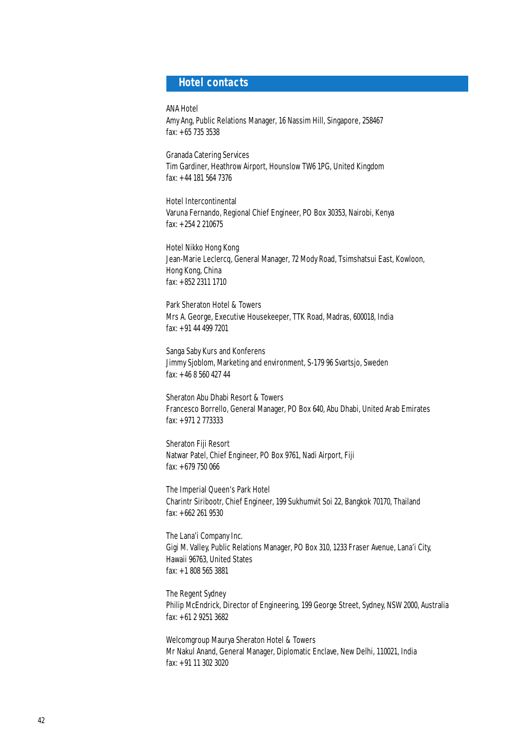## **Hotel contacts**

ANA Hotel

Amy Ang, Public Relations Manager, 16 Nassim Hill, Singapore, 258467 fax: +65 735 3538

Granada Catering Services Tim Gardiner, Heathrow Airport, Hounslow TW6 1PG, United Kingdom fax: +44 181 564 7376

Hotel Intercontinental Varuna Fernando, Regional Chief Engineer, PO Box 30353, Nairobi, Kenya fax: +254 2 210675

Hotel Nikko Hong Kong Jean-Marie Leclercq, General Manager, 72 Mody Road, Tsimshatsui East, Kowloon, Hong Kong, China fax: +852 2311 1710

Park Sheraton Hotel & Towers Mrs A. George, Executive Housekeeper, TTK Road, Madras, 600018, India fax: +91 44 499 7201

Sanga Saby Kurs and Konferens Jimmy Sjoblom, Marketing and environment, S-179 96 Svartsjo, Sweden fax: +46 8 560 427 44

Sheraton Abu Dhabi Resort & Towers Francesco Borrello, General Manager, PO Box 640, Abu Dhabi, United Arab Emirates fax: +971 2 773333

Sheraton Fiji Resort Natwar Patel, Chief Engineer, PO Box 9761, Nadi Airport, Fiji fax: +679 750 066

The Imperial Queen's Park Hotel Charintr Siribootr, Chief Engineer, 199 Sukhumvit Soi 22, Bangkok 70170, Thailand fax: +662 261 9530

The Lana'i Company Inc. Gigi M. Valley, Public Relations Manager, PO Box 310, 1233 Fraser Avenue, Lana'i City, Hawaii 96763, United States fax: +1 808 565 3881

The Regent Sydney Philip McEndrick, Director of Engineering, 199 George Street, Sydney, NSW 2000, Australia fax: +61 2 9251 3682

Welcomgroup Maurya Sheraton Hotel & Towers Mr Nakul Anand, General Manager, Diplomatic Enclave, New Delhi, 110021, India fax: +91 11 302 3020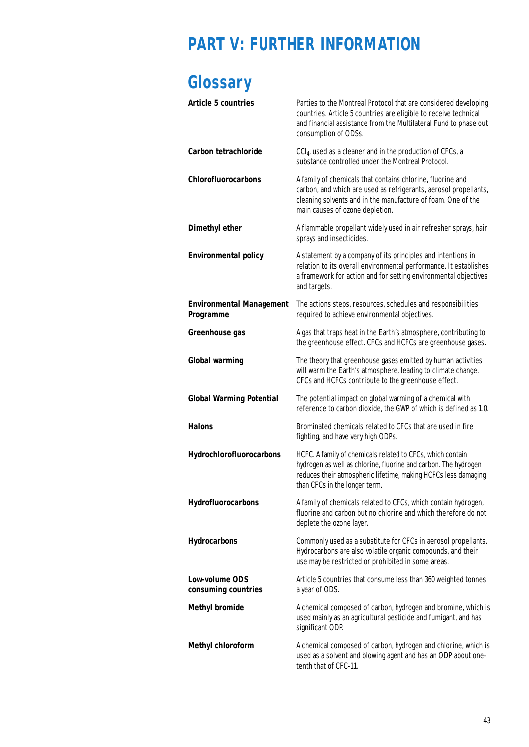# **PART V: FURTHER INFORMATION**

# **Glossary**

| <b>Article 5 countries</b>                          | Parties to the Montreal Protocol that are considered developing<br>countries. Article 5 countries are eligible to receive technical<br>and financial assistance from the Multilateral Fund to phase out<br>consumption of ODSs.   |
|-----------------------------------------------------|-----------------------------------------------------------------------------------------------------------------------------------------------------------------------------------------------------------------------------------|
| <b>Carbon tetrachloride</b>                         | CCl <sub>4</sub> , used as a cleaner and in the production of CFCs, a<br>substance controlled under the Montreal Protocol.                                                                                                        |
| Chlorofluorocarbons                                 | A family of chemicals that contains chlorine, fluorine and<br>carbon, and which are used as refrigerants, aerosol propellants,<br>cleaning solvents and in the manufacture of foam. One of the<br>main causes of ozone depletion. |
| <b>Dimethyl ether</b>                               | A flammable propellant widely used in air refresher sprays, hair<br>sprays and insecticides.                                                                                                                                      |
| <b>Environmental policy</b>                         | A statement by a company of its principles and intentions in<br>relation to its overall environmental performance. It establishes<br>a framework for action and for setting environmental objectives<br>and targets.              |
| <b>Environmental Management</b><br><b>Programme</b> | The actions steps, resources, schedules and responsibilities<br>required to achieve environmental objectives.                                                                                                                     |
| <b>Greenhouse gas</b>                               | A gas that traps heat in the Earth's atmosphere, contributing to<br>the greenhouse effect. CFCs and HCFCs are greenhouse gases.                                                                                                   |
| <b>Global warming</b>                               | The theory that greenhouse gases emitted by human activities<br>will warm the Earth's atmosphere, leading to climate change.<br>CFCs and HCFCs contribute to the greenhouse effect.                                               |
| <b>Global Warming Potential</b>                     | The potential impact on global warming of a chemical with<br>reference to carbon dioxide, the GWP of which is defined as 1.0.                                                                                                     |
| <b>Halons</b>                                       | Brominated chemicals related to CFCs that are used in fire<br>fighting, and have very high ODPs.                                                                                                                                  |
| Hydrochlorofluorocarbons                            | HCFC. A family of chemicals related to CFCs, which contain<br>hydrogen as well as chlorine, fluorine and carbon. The hydrogen<br>reduces their atmospheric lifetime, making HCFCs less damaging<br>than CFCs in the longer term.  |
| Hydrofluorocarbons                                  | A family of chemicals related to CFCs, which contain hydrogen,<br>fluorine and carbon but no chlorine and which therefore do not<br>deplete the ozone layer.                                                                      |
| <b>Hydrocarbons</b>                                 | Commonly used as a substitute for CFCs in aerosol propellants.<br>Hydrocarbons are also volatile organic compounds, and their<br>use may be restricted or prohibited in some areas.                                               |
| <b>Low-volume ODS</b><br>consuming countries        | Article 5 countries that consume less than 360 weighted tonnes<br>a year of ODS.                                                                                                                                                  |
| <b>Methyl bromide</b>                               | A chemical composed of carbon, hydrogen and bromine, which is<br>used mainly as an agricultural pesticide and fumigant, and has<br>significant ODP.                                                                               |
| <b>Methyl chloroform</b>                            | A chemical composed of carbon, hydrogen and chlorine, which is<br>used as a solvent and blowing agent and has an ODP about one-<br>tenth that of CFC-11.                                                                          |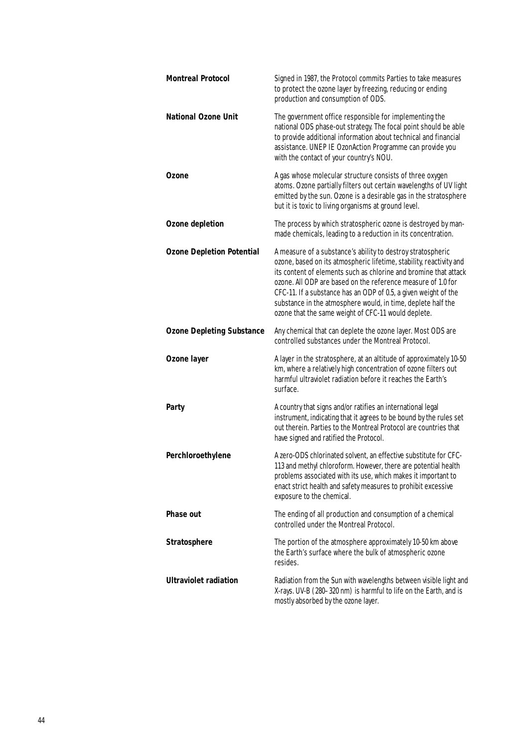| <b>Montreal Protocol</b>         | Signed in 1987, the Protocol commits Parties to take measures<br>to protect the ozone layer by freezing, reducing or ending<br>production and consumption of ODS.                                                                                                                                                                                                                                                                                                |
|----------------------------------|------------------------------------------------------------------------------------------------------------------------------------------------------------------------------------------------------------------------------------------------------------------------------------------------------------------------------------------------------------------------------------------------------------------------------------------------------------------|
| <b>National Ozone Unit</b>       | The government office responsible for implementing the<br>national ODS phase-out strategy. The focal point should be able<br>to provide additional information about technical and financial<br>assistance. UNEP IE OzonAction Programme can provide you<br>with the contact of your country's NOU.                                                                                                                                                              |
| <b>Ozone</b>                     | A gas whose molecular structure consists of three oxygen<br>atoms. Ozone partially filters out certain wavelengths of UV light<br>emitted by the sun. Ozone is a desirable gas in the stratosphere<br>but it is toxic to living organisms at ground level.                                                                                                                                                                                                       |
| <b>Ozone depletion</b>           | The process by which stratospheric ozone is destroyed by man-<br>made chemicals, leading to a reduction in its concentration.                                                                                                                                                                                                                                                                                                                                    |
| <b>Ozone Depletion Potential</b> | A measure of a substance's ability to destroy stratospheric<br>ozone, based on its atmospheric lifetime, stability, reactivity and<br>its content of elements such as chlorine and bromine that attack<br>ozone. All ODP are based on the reference measure of 1.0 for<br>CFC-11. If a substance has an ODP of 0.5, a given weight of the<br>substance in the atmosphere would, in time, deplete half the<br>ozone that the same weight of CFC-11 would deplete. |
| <b>Ozone Depleting Substance</b> | Any chemical that can deplete the ozone layer. Most ODS are<br>controlled substances under the Montreal Protocol.                                                                                                                                                                                                                                                                                                                                                |
| <b>Ozone layer</b>               | A layer in the stratosphere, at an altitude of approximately 10-50<br>km, where a relatively high concentration of ozone filters out<br>harmful ultraviolet radiation before it reaches the Earth's<br>surface.                                                                                                                                                                                                                                                  |
| <b>Party</b>                     | A country that signs and/or ratifies an international legal<br>instrument, indicating that it agrees to be bound by the rules set<br>out therein. Parties to the Montreal Protocol are countries that<br>have signed and ratified the Protocol.                                                                                                                                                                                                                  |
| Perchloroethylene                | A zero-ODS chlorinated solvent, an effective substitute for CFC-<br>113 and methyl chloroform. However, there are potential health<br>problems associated with its use, which makes it important to<br>enact strict health and safety measures to prohibit excessive<br>exposure to the chemical.                                                                                                                                                                |
| <b>Phase out</b>                 | The ending of all production and consumption of a chemical<br>controlled under the Montreal Protocol.                                                                                                                                                                                                                                                                                                                                                            |
| <b>Stratosphere</b>              | The portion of the atmosphere approximately 10-50 km above<br>the Earth's surface where the bulk of atmospheric ozone<br>resides.                                                                                                                                                                                                                                                                                                                                |
| <b>Ultraviolet radiation</b>     | Radiation from the Sun with wavelengths between visible light and<br>X-rays. UV-B (280-320 nm) is harmful to life on the Earth, and is<br>mostly absorbed by the ozone layer.                                                                                                                                                                                                                                                                                    |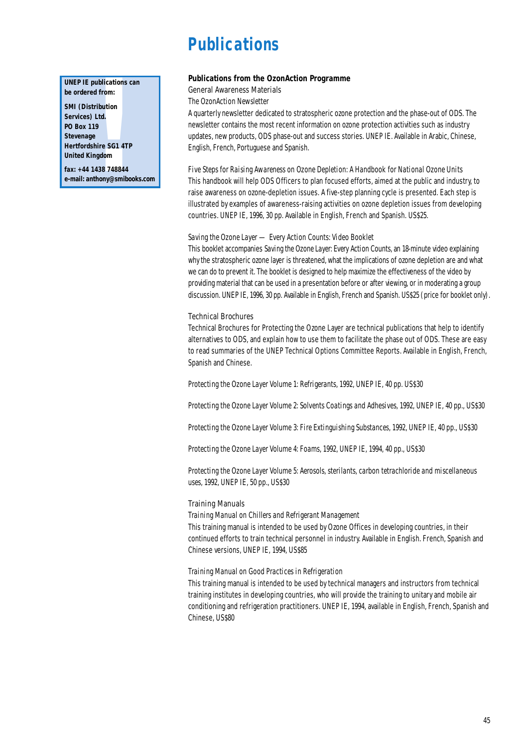# **Publications**

#### **UNEP IE publications can be ordered from:**

**publications**<br>d from:<br>tribution<br>Ltd.<br>19<br>e<br>elime SG1 4T<br>ngdom<br>1438 748844<br>thony@smib **SMI (Distribution Services) Ltd. PO Box 119 Stevenage Hertfordshire SG1 4TP United Kingdom** 

**fax: +44 1438 748844 e-mail: anthony@smibooks.com**

#### **Publications from the OzonAction Programme**

General Awareness Materials

*The OzonAction Newsletter*

A quarterly newsletter dedicated to stratospheric ozone protection and the phase-out of ODS. The newsletter contains the most recent information on ozone protection activities such as industry updates, new products, ODS phase-out and success stories. UNEP IE. Available in Arabic, Chinese, English, French, Portuguese and Spanish.

*Five Steps for Raising Awareness on Ozone Depletion: A Handbook for National Ozone Units* This handbook will help ODS Officers to plan focused efforts, aimed at the public and industry, to raise awareness on ozone-depletion issues. A five-step planning cycle is presented. Each step is illustrated by examples of awareness-raising activities on ozone depletion issues from developing countries. UNEP IE, 1996, 30 pp. Available in English, French and Spanish. US\$25.

#### *Saving the Ozone Layer — Every Action Counts: Video Booklet*

This booklet accompanies *Saving the Ozone Layer: Every Action Counts*, an 18-minute video explaining why the stratospheric ozone layer is threatened, what the implications of ozone depletion are and what we can do to prevent it. The booklet is designed to help maximize the effectiveness of the video by providing material that can be used in a presentation before or after viewing, or in moderating a group discussion. UNEP IE, 1996, 30 pp. Available in English, French and Spanish. US\$25 (price for booklet only).

#### Technical Brochures

Technical Brochures for Protecting the Ozone Layer are technical publications that help to identify alternatives to ODS, and explain how to use them to facilitate the phase out of ODS. These are easy to read summaries of the UNEP Technical Options Committee Reports. Available in English, French, Spanish and Chinese.

*Protecting the Ozone Layer Volume 1: Refrigerants*, 1992, UNEP IE, 40 pp. US\$30

*Protecting the Ozone Layer Volume 2: Solvents Coatings and Adhesives*, 1992, UNEP IE, 40 pp., US\$30

*Protecting the Ozone Layer Volume 3: Fire Extinguishing Substances,* 1992, UNEP IE, 40 pp., US\$30

*Protecting the Ozone Layer Volume 4: Foams,* 1992, UNEP IE, 1994, 40 pp., US\$30

*Protecting the Ozone Layer Volume 5: Aerosols, sterilants, carbon tetrachloride and miscellaneous uses,* 1992, UNEP IE, 50 pp., US\$30

#### Training Manuals

*Training Manual on Chillers and Refrigerant Management*

This training manual is intended to be used by Ozone Offices in developing countries, in their continued efforts to train technical personnel in industry. Available in English. French, Spanish and Chinese versions, UNEP IE, 1994, US\$85

#### *Training Manual on Good Practices in Refrigeration*

This training manual is intended to be used by technical managers and instructors from technical training institutes in developing countries, who will provide the training to unitary and mobile air conditioning and refrigeration practitioners. UNEP IE, 1994, available in English, French, Spanish and Chinese, US\$80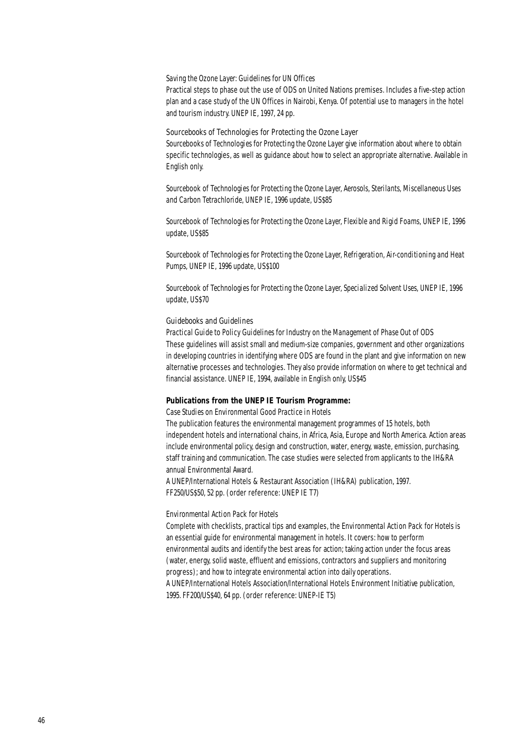#### *Saving the Ozone Layer: Guidelines for UN Offices*

Practical steps to phase out the use of ODS on United Nations premises. Includes a five-step action plan and a case study of the UN Offices in Nairobi, Kenya. Of potential use to managers in the hotel and tourism industry. UNEP IE, 1997, 24 pp.

#### Sourcebooks of Technologies for Protecting the Ozone Layer

*Sourcebooks of Technologies for Protecting the Ozone Layer give information about where to obtain* specific technologies, as well as guidance about how to select an appropriate alternative. Available in English only.

*Sourcebook of Technologies for Protecting the Ozone Layer, Aerosols, Sterilants, Miscellaneous Uses and Carbon Tetrachloride*, UNEP IE, 1996 update, US\$85

*Sourcebook of Technologies for Protecting the Ozone Layer, Flexible and Rigid Foams,* UNEP IE, 1996 update, US\$85

*Sourcebook of Technologies for Protecting the Ozone Layer, Refrigeration, Air-conditioning and Heat Pumps,* UNEP IE, 1996 update, US\$100

*Sourcebook of Technologies for Protecting the Ozone Layer, Specialized Solvent Uses,* UNEP IE, 1996 update, US\$70

#### Guidebooks and Guidelines

*Practical Guide to Policy Guidelines for Industry on the Management of Phase Out of ODS* These guidelines will assist small and medium-size companies, government and other organizations in developing countries in identifying where ODS are found in the plant and give information on new alternative processes and technologies. They also provide information on where to get technical and financial assistance. UNEP IE, 1994, available in English only, US\$45

#### **Publications from the UNEP IE Tourism Programme:**

#### *Case Studies on Environmental Good Practice in Hotels*

The publication features the environmental management programmes of 15 hotels, both independent hotels and international chains, in Africa, Asia, Europe and North America. Action areas include environmental policy, design and construction, water, energy, waste, emission, purchasing, staff training and communication. The case studies were selected from applicants to the IH&RA annual Environmental Award.

A UNEP/International Hotels & Restaurant Association (IH&RA) publication, 1997. FF250/US\$50, 52 pp. (order reference: UNEP IE T7)

#### *Environmental Action Pack for Hotels*

Complete with checklists, practical tips and examples, the *Environmental Action Pack for Hotels* is an essential guide for environmental management in hotels. It covers: how to perform environmental audits and identify the best areas for action; taking action under the focus areas (water, energy, solid waste, effluent and emissions, contractors and suppliers and monitoring progress); and how to integrate environmental action into daily operations. A UNEP/International Hotels Association/International Hotels Environment Initiative publication, 1995. FF200/US\$40, 64 pp. (order reference: UNEP-IE T5)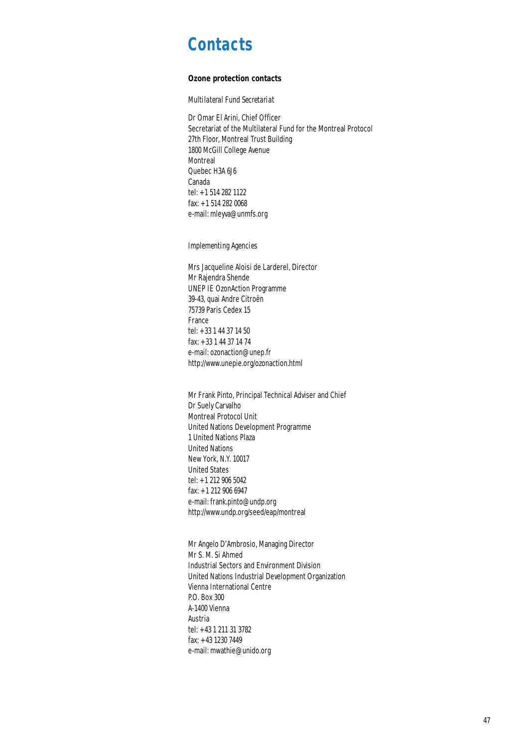# **Contacts**

#### **Ozone protection contacts**

*Multilateral Fund Secretariat* 

Dr Omar El Arini, Chief Officer Secretariat of the Multilateral Fund for the Montreal Protocol 27th Floor, Montreal Trust Building 1800 McGill College Avenue Montreal Quebec H3A 6J6 Canada tel: +1 514 282 1122 fax: +1 514 282 0068 e-mail: mleyva@unmfs.org

*Implementing Agencies*

Mrs Jacqueline Aloisi de Larderel, Director Mr Rajendra Shende UNEP IE OzonAction Programme 39-43, quai Andre Citroën 75739 Paris Cedex 15 France tel: +33 1 44 37 14 50 fax: +33 1 44 37 14 74 e-mail: ozonaction@unep.fr http://www.unepie.org/ozonaction.html

Mr Frank Pinto, Principal Technical Adviser and Chief Dr Suely Carvalho Montreal Protocol Unit United Nations Development Programme 1 United Nations Plaza United Nations New York, N.Y. 10017 United States tel: +1 212 906 5042 fax: +1 212 906 6947 e-mail: frank.pinto@undp.org http://www.undp.org/seed/eap/montreal

Mr Angelo D'Ambrosio, Managing Director Mr S. M. Si Ahmed Industrial Sectors and Environment Division United Nations Industrial Development Organization Vienna International Centre P.O. Box 300 A-1400 Vienna Austria tel: +43 1 211 31 3782 fax: +43 1230 7449 e-mail: mwathie@unido.org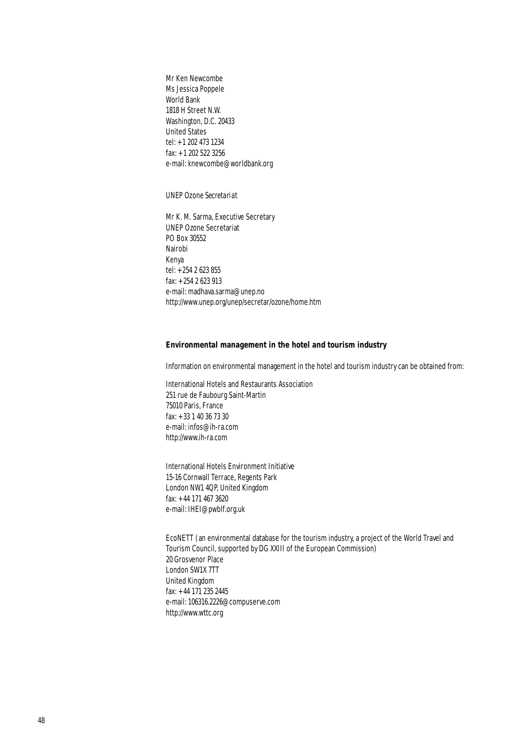Mr Ken Newcombe Ms Jessica Poppele World Bank 1818 H Street N.W. Washington, D.C. 20433 United States tel: +1 202 473 1234 fax: +1 202 522 3256 e-mail: knewcombe@worldbank.org

#### *UNEP Ozone Secretariat*

Mr K. M. Sarma, Executive Secretary UNEP Ozone Secretariat PO Box 30552 Nairobi Kenya tel: +254 2 623 855 fax: +254 2 623 913 e-mail: madhava.sarma@unep.no http://www.unep.org/unep/secretar/ozone/home.htm

#### **Environmental management in the hotel and tourism industry**

Information on environmental management in the hotel and tourism industry can be obtained from:

International Hotels and Restaurants Association 251 rue de Faubourg Saint-Martin 75010 Paris, France fax: +33 1 40 36 73 30 e-mail: infos@ih-ra.com http://www.ih-ra.com

International Hotels Environment Initiative 15-16 Cornwall Terrace, Regents Park London NW1 4QP, United Kingdom fax: +44 171 467 3620 e-mail: IHEI@pwblf.org.uk

EcoNETT (an environmental database for the tourism industry, a project of the World Travel and Tourism Council, supported by DG XXIII of the European Commission) 20 Grosvenor Place London SW1X 7TT United Kingdom fax: +44 171 235 2445 e-mail: 106316.2226@compuserve.com http://www.wttc.org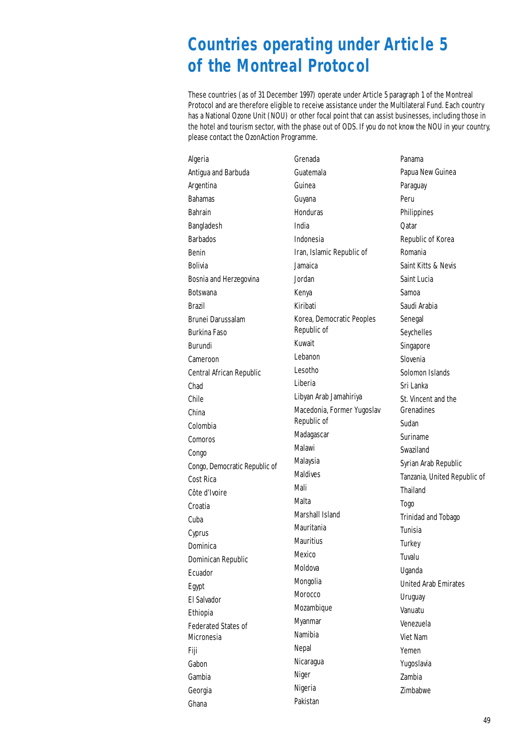# **Countries operating under Article 5 of the Montreal Protocol**

These countries (as of 31 December 1997) operate under Article 5 paragraph 1 of the Montreal Protocol and are therefore eligible to receive assistance under the Multilateral Fund. Each country has a National Ozone Unit (NOU) or other focal point that can assist businesses, including those in the hotel and tourism sector, with the phase out of ODS. If you do not know the NOU in your country, please contact the OzonAction Programme.

| Algeria                       | Grenada                    | Panama                       |
|-------------------------------|----------------------------|------------------------------|
| Antigua and Barbuda           | Guatemala                  | Papua New Guinea             |
| Argentina                     | Guinea                     | Paraguay                     |
| <b>Bahamas</b>                | Guyana                     | Peru                         |
| <b>Bahrain</b>                | <b>Honduras</b>            | Philippines                  |
| Bangladesh                    | India                      | Qatar                        |
| <b>Barbados</b>               | Indonesia                  | Republic of Korea            |
| Benin                         | Iran, Islamic Republic of  | Romania                      |
| <b>Bolivia</b>                | Jamaica                    | Saint Kitts & Nevis          |
| Bosnia and Herzegovina        | Jordan                     | Saint Lucia                  |
| <b>Botswana</b>               | Kenya                      | Samoa                        |
| Brazil                        | Kiribati                   | Saudi Arabia                 |
| <b>Brunei Darussalam</b>      | Korea, Democratic Peoples  | Senegal                      |
| <b>Burkina Faso</b>           | Republic of                | Seychelles                   |
| Burundi                       | Kuwait                     | Singapore                    |
| Cameroon                      | Lebanon                    | Slovenia                     |
| Central African Republic      | Lesotho                    | Solomon Islands              |
| Chad                          | Liberia                    | Sri Lanka                    |
| Chile                         | Libyan Arab Jamahiriya     | St. Vincent and the          |
| China                         | Macedonia, Former Yugoslav | Grenadines                   |
| Colombia                      | Republic of                | Sudan                        |
| Comoros                       | Madagascar                 | Suriname                     |
| Congo                         | Malawi                     | Swaziland                    |
| Congo, Democratic Republic of | Malaysia                   | Syrian Arab Republic         |
| Cost Rica                     | <b>Maldives</b>            | Tanzania, United Republic of |
| Côte d'Ivoire                 | Mali                       | Thailand                     |
| Croatia                       | Malta                      | Togo                         |
| Cuba                          | Marshall Island            | <b>Trinidad and Tobago</b>   |
| Cyprus                        | Mauritania                 | Tunisia                      |
| Dominica                      | <b>Mauritius</b>           | Turkey                       |
| Dominican Republic            | Mexico                     | Tuvalu                       |
| Ecuador                       | Moldova                    | Uganda                       |
| Egypt                         | Mongolia                   | <b>United Arab Emirates</b>  |
| El Salvador                   | Morocco                    | Uruguay                      |
| Ethiopia                      | Mozambique                 | Vanuatu                      |
| <b>Federated States of</b>    | Myanmar                    | Venezuela                    |
| Micronesia                    | Namibia                    | Viet Nam                     |
| Fiji                          | Nepal                      | Yemen                        |
| Gabon                         | Nicaragua                  | Yugoslavia                   |
| Gambia                        | Niger                      | Zambia                       |
| Georgia                       | Nigeria                    | Zimbabwe                     |
| Ghana                         | Pakistan                   |                              |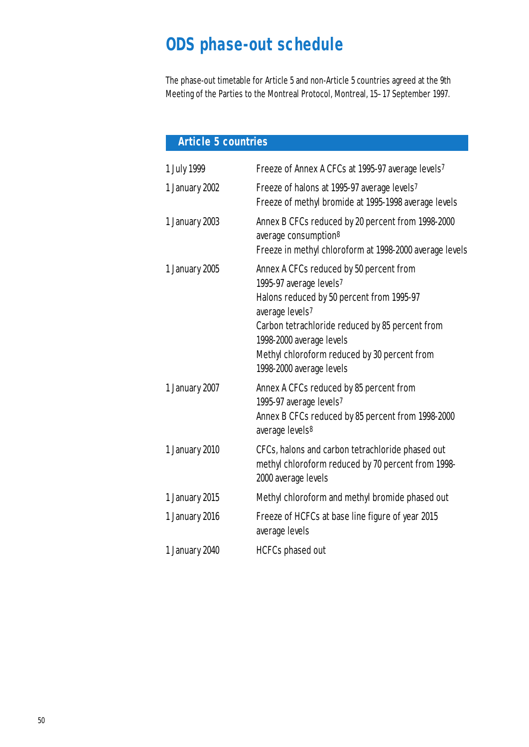# **ODS phase-out schedule**

The phase-out timetable for Article 5 and non-Article 5 countries agreed at the 9th Meeting of the Parties to the Montreal Protocol, Montreal, 15–17 September 1997.

# **Article 5 countries**

| 1 July 1999    | Freeze of Annex A CFCs at 1995-97 average levels <sup>7</sup>                                                                                                                                                                                                                                 |
|----------------|-----------------------------------------------------------------------------------------------------------------------------------------------------------------------------------------------------------------------------------------------------------------------------------------------|
| 1 January 2002 | Freeze of halons at 1995-97 average levels <sup>7</sup><br>Freeze of methyl bromide at 1995-1998 average levels                                                                                                                                                                               |
| 1 January 2003 | Annex B CFCs reduced by 20 percent from 1998-2000<br>average consumption <sup>8</sup><br>Freeze in methyl chloroform at 1998-2000 average levels                                                                                                                                              |
| 1 January 2005 | Annex A CFCs reduced by 50 percent from<br>1995-97 average levels7<br>Halons reduced by 50 percent from 1995-97<br>average levels7<br>Carbon tetrachloride reduced by 85 percent from<br>1998-2000 average levels<br>Methyl chloroform reduced by 30 percent from<br>1998-2000 average levels |
| 1 January 2007 | Annex A CFCs reduced by 85 percent from<br>1995-97 average levels7<br>Annex B CFCs reduced by 85 percent from 1998-2000<br>average levels <sup>8</sup>                                                                                                                                        |
| 1 January 2010 | CFCs, halons and carbon tetrachloride phased out<br>methyl chloroform reduced by 70 percent from 1998-<br>2000 average levels                                                                                                                                                                 |
| 1 January 2015 | Methyl chloroform and methyl bromide phased out                                                                                                                                                                                                                                               |
| 1 January 2016 | Freeze of HCFCs at base line figure of year 2015<br>average levels                                                                                                                                                                                                                            |
| 1 January 2040 | <b>HCFCs</b> phased out                                                                                                                                                                                                                                                                       |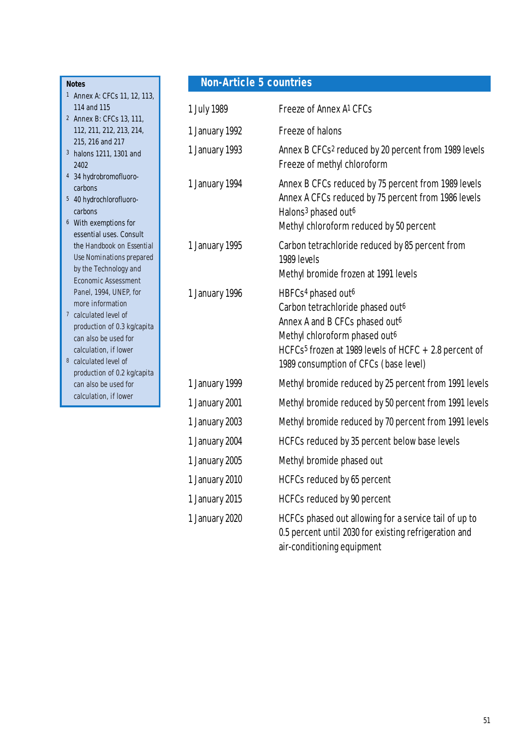#### **Notes**

- 1 Annex A: CFCs 11, 12, 113, 114 and 115
- 2 Annex B: CFCs 13, 111, 112, 211, 212, 213, 214, 215, 216 and 217
- 3 halons 1211, 1301 and 2402
- 4 34 hydrobromofluorocarbons
- 5 40 hydrochlorofluorocarbons
- 6 With exemptions for essential uses. Consult the *Handbook on Essential Use Nominations* prepared by the Technology and Economic Assessment Panel, 1994, UNEP, for more information
- 7 calculated level of production of 0.3 kg/capita can also be used for calculation, if lower
- 8 calculated level of production of 0.2 kg/capita can also be used for calculation, if lower

# **Non-Article 5 countries**

| 1 July 1989    | Freeze of Annex A <sup>1</sup> CFCs                                                                                                                                                                                                                                          |
|----------------|------------------------------------------------------------------------------------------------------------------------------------------------------------------------------------------------------------------------------------------------------------------------------|
| 1 January 1992 | <b>Freeze of halons</b>                                                                                                                                                                                                                                                      |
| 1 January 1993 | Annex B CFCs <sup>2</sup> reduced by 20 percent from 1989 levels<br>Freeze of methyl chloroform                                                                                                                                                                              |
| 1 January 1994 | Annex B CFCs reduced by 75 percent from 1989 levels<br>Annex A CFCs reduced by 75 percent from 1986 levels<br>Halons <sup>3</sup> phased out <sup>6</sup><br>Methyl chloroform reduced by 50 percent                                                                         |
| 1 January 1995 | Carbon tetrachloride reduced by 85 percent from<br>1989 levels<br>Methyl bromide frozen at 1991 levels                                                                                                                                                                       |
| 1 January 1996 | HBFCs <sup>4</sup> phased out <sup>6</sup><br>Carbon tetrachloride phased out <sup>6</sup><br>Annex A and B CFCs phased out6<br>Methyl chloroform phased out6<br>HCFCs <sup>5</sup> frozen at 1989 levels of HCFC $+2.8$ percent of<br>1989 consumption of CFCs (base level) |
| 1 January 1999 | Methyl bromide reduced by 25 percent from 1991 levels                                                                                                                                                                                                                        |
| 1 January 2001 | Methyl bromide reduced by 50 percent from 1991 levels                                                                                                                                                                                                                        |
| 1 January 2003 | Methyl bromide reduced by 70 percent from 1991 levels                                                                                                                                                                                                                        |
| 1 January 2004 | HCFCs reduced by 35 percent below base levels                                                                                                                                                                                                                                |
| 1 January 2005 | Methyl bromide phased out                                                                                                                                                                                                                                                    |
| 1 January 2010 | HCFCs reduced by 65 percent                                                                                                                                                                                                                                                  |
| 1 January 2015 | HCFCs reduced by 90 percent                                                                                                                                                                                                                                                  |
| 1 January 2020 | HCFCs phased out allowing for a service tail of up to<br>0.5 percent until 2030 for existing refrigeration and<br>air-conditioning equipment                                                                                                                                 |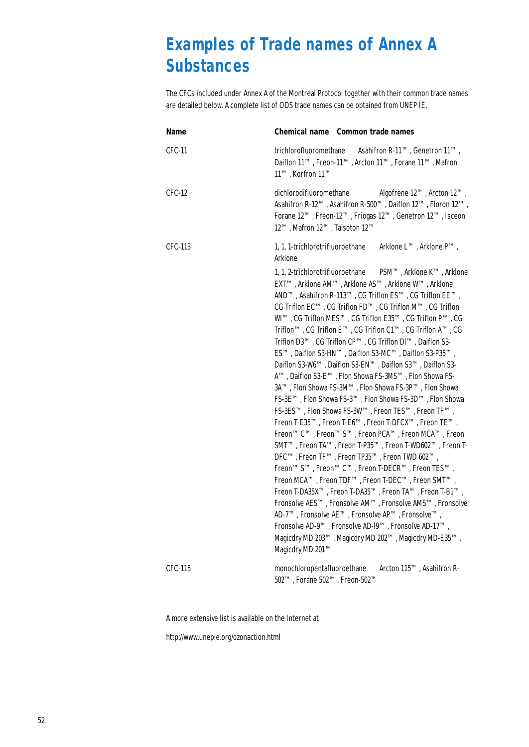# **Examples of Trade names of Annex A Substances**

The CFCs included under Annex A of the Montreal Protocol together with their common trade names are detailed below. A complete list of ODS trade names can be obtained from UNEP IE.

| Name     | <b>Chemical name</b> Common trade names                                                                                                                                                                                                                                                                                                                                                                                                                                                                                                                                                                                                                                                                                                                                                                                                                                                                                                                                                                                                                                                                                                                                                                                                                                                                                                                                                                                                                                                                                                         |  |
|----------|-------------------------------------------------------------------------------------------------------------------------------------------------------------------------------------------------------------------------------------------------------------------------------------------------------------------------------------------------------------------------------------------------------------------------------------------------------------------------------------------------------------------------------------------------------------------------------------------------------------------------------------------------------------------------------------------------------------------------------------------------------------------------------------------------------------------------------------------------------------------------------------------------------------------------------------------------------------------------------------------------------------------------------------------------------------------------------------------------------------------------------------------------------------------------------------------------------------------------------------------------------------------------------------------------------------------------------------------------------------------------------------------------------------------------------------------------------------------------------------------------------------------------------------------------|--|
| $CFC-11$ | trichlorofluoromethane<br>Asahifron R-11™, Genetron 11™,<br>Daiflon 11™, Freon-11™, Arcton 11™, Forane 11™, Mafron<br>11™, Korfron 11™                                                                                                                                                                                                                                                                                                                                                                                                                                                                                                                                                                                                                                                                                                                                                                                                                                                                                                                                                                                                                                                                                                                                                                                                                                                                                                                                                                                                          |  |
| $CFC-12$ | Algofrene 12™, Arcton 12™,<br>dichlorodifluoromethane<br>Asahifron R-12™, Asahifron R-500™, Daiflon 12™, Floron 12™,<br>Forane 12™, Freon-12™, Friogas 12™, Genetron 12™, Isceon<br>12™, Mafron 12™, Taisoton 12™                                                                                                                                                                                                                                                                                                                                                                                                                                                                                                                                                                                                                                                                                                                                                                                                                                                                                                                                                                                                                                                                                                                                                                                                                                                                                                                               |  |
| CFC-113  | Arklone L™, Arklone P™,<br>1, 1, 1-trichlorotrifluoroethane<br>Arklone                                                                                                                                                                                                                                                                                                                                                                                                                                                                                                                                                                                                                                                                                                                                                                                                                                                                                                                                                                                                                                                                                                                                                                                                                                                                                                                                                                                                                                                                          |  |
|          | 1, 1, 2-trichlorotrifluoroethane<br>PSM™, Arklone K™, Arklone<br>EXTTM, Arklone AMTM, Arklone ASTM, Arklone WTM, Arklone<br>AND <sup>™</sup> , Asahifron R-113™, CG Triflon ES™, CG Triflon EE™,<br>CG Triflon EC™, CG Triflon FD™, CG Triflon M™, CG Triflon<br>WI™, CG Triflon MES™, CG Triflon E35™, CG Triflon P™, CG<br>Triflon™, CG Triflon E™, CG Triflon C1™, CG Triflon A™, CG<br>Triflon D3™, CG Triflon CP™, CG Triflon Dl™, Daiflon S3-<br>ES™, Daiflon S3-HN™, Daiflon S3-MC™, Daiflon S3-P35™,<br>Daiflon S3-W6™, Daiflon S3-EN™, Daiflon S3™, Daiflon S3-<br>ATM, Daiflon S3-ETM, Flon Showa FS-3MSTM, Flon Showa FS-<br>3A™, Flon Showa FS-3M™, Flon Showa FS-3P™, Flon Showa<br>FS-3E™, Flon Showa FS-3™, Flon Showa FS-3D™, Flon Showa<br>FS-3ES™, Flon Showa FS-3W™, Freon TES™, Freon TF™,<br>Freon T-E35™, Freon T-E6™, Freon T-DFCX™, Freon TE™,<br>Freon™C™, Freon™S™, Freon PCA™, Freon MCA™, Freon<br>SMT™, Freon TA™, Freon T-P35™, Freon T-WD602™, Freon T-<br>DFC™, Freon TF™, Freon TP35™, Freon TWD 602™,<br>Freon™S™, Freon™C™, Freon T-DECR™, Freon TES™,<br>Freon MCA™, Freon TDF™, Freon T-DEC™, Freon SMT™,<br>Freon T-DA35X <sup>™</sup> , Freon T-DA35 <sup>™</sup> , Freon TA™, Freon T-B1™,<br>Fronsolve AES™, Fronsolve AM™, Fronsolve AMS™, Fronsolve<br>AD-7 <sup>TM</sup> , Fronsolve AE <sup>TM</sup> , Fronsolve AP <sup>TM</sup> , Fronsolve <sup>TM</sup> ,<br>Fronsolve AD-9™, Fronsolve AD-19™, Fronsolve AD-17™,<br>Magicdry MD 203™, Magicdry MD 202™, Magicdry MD-E35™,<br>Magicdry MD 201™ |  |
| CFC-115  | Arcton 115™, Asahifron R-<br>monochloropentafluoroethane<br>502™, Forane 502™, Freon-502™                                                                                                                                                                                                                                                                                                                                                                                                                                                                                                                                                                                                                                                                                                                                                                                                                                                                                                                                                                                                                                                                                                                                                                                                                                                                                                                                                                                                                                                       |  |

A more extensive list is available on the Internet at

http://www.unepie.org/ozonaction.html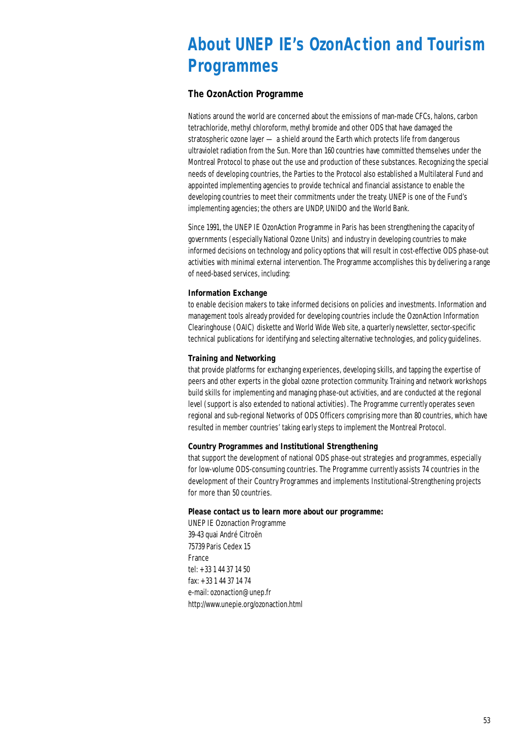# **About UNEP IE's OzonAction and Tourism Programmes**

#### **The OzonAction Programme**

Nations around the world are concerned about the emissions of man-made CFCs, halons, carbon tetrachloride, methyl chloroform, methyl bromide and other ODS that have damaged the stratospheric ozone layer — a shield around the Earth which protects life from dangerous ultraviolet radiation from the Sun. More than 160 countries have committed themselves under the Montreal Protocol to phase out the use and production of these substances. Recognizing the special needs of developing countries, the Parties to the Protocol also established a Multilateral Fund and appointed implementing agencies to provide technical and financial assistance to enable the developing countries to meet their commitments under the treaty. UNEP is one of the Fund's implementing agencies; the others are UNDP, UNIDO and the World Bank.

Since 1991, the UNEP IE OzonAction Programme in Paris has been strengthening the capacity of governments (especially National Ozone Units) and industry in developing countries to make informed decisions on technology and policy options that will result in cost-effective ODS phase-out activities with minimal external intervention. The Programme accomplishes this by delivering a range of need-based services, including:

#### **Information Exchange**

to enable decision makers to take informed decisions on policies and investments. Information and management tools already provided for developing countries include the OzonAction Information Clearinghouse (OAIC) diskette and World Wide Web site, a quarterly newsletter, sector-specific technical publications for identifying and selecting alternative technologies, and policy guidelines.

#### **Training and Networking**

that provide platforms for exchanging experiences, developing skills, and tapping the expertise of peers and other experts in the global ozone protection community. Training and network workshops build skills for implementing and managing phase-out activities, and are conducted at the regional level (support is also extended to national activities). The Programme currently operates seven regional and sub-regional Networks of ODS Officers comprising more than 80 countries, which have resulted in member countries' taking early steps to implement the Montreal Protocol.

#### **Country Programmes and Institutional Strengthening**

that support the development of national ODS phase-out strategies and programmes, especially for low-volume ODS-consuming countries. The Programme currently assists 74 countries in the development of their Country Programmes and implements Institutional-Strengthening projects for more than 50 countries.

#### **Please contact us to learn more about our programme:**

UNEP IE Ozonaction Programme 39-43 quai André Citroën 75739 Paris Cedex 15 France tel: +33 1 44 37 14 50 fax: +33 1 44 37 14 74 e-mail: ozonaction@unep.fr http://www.unepie.org/ozonaction.html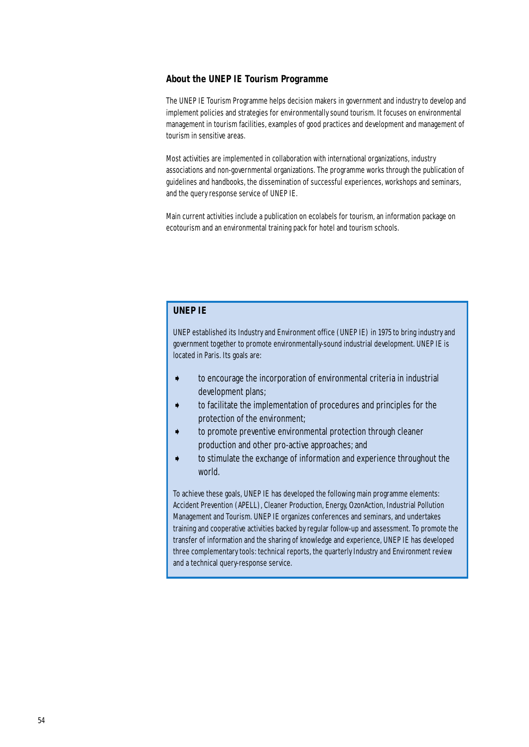#### **About the UNEP IE Tourism Programme**

The UNEP IE Tourism Programme helps decision makers in government and industry to develop and implement policies and strategies for environmentally sound tourism. It focuses on environmental management in tourism facilities, examples of good practices and development and management of tourism in sensitive areas.

Most activities are implemented in collaboration with international organizations, industry associations and non-governmental organizations. The programme works through the publication of guidelines and handbooks, the dissemination of successful experiences, workshops and seminars, and the query response service of UNEP IE.

Main current activities include a publication on ecolabels for tourism, an information package on ecotourism and an environmental training pack for hotel and tourism schools.

#### **UNEP IE**

UNEP established its Industry and Environment office (UNEP IE) in 1975 to bring industry and government together to promote environmentally-sound industrial development. UNEP IE is located in Paris. Its goals are:

- ➧ to encourage the incorporation of environmental criteria in industrial development plans;
- ➧ to facilitate the implementation of procedures and principles for the protection of the environment;
- to promote preventive environmental protection through cleaner production and other pro-active approaches; and
- ➧ to stimulate the exchange of information and experience throughout the world.

To achieve these goals, UNEP IE has developed the following main programme elements: Accident Prevention (APELL), Cleaner Production, Energy, OzonAction, Industrial Pollution Management and Tourism. UNEP IE organizes conferences and seminars, and undertakes training and cooperative activities backed by regular follow-up and assessment. To promote the transfer of information and the sharing of knowledge and experience, UNEP IE has developed three complementary tools: technical reports, the quarterly *Industry and Environment* review and a technical query-response service.